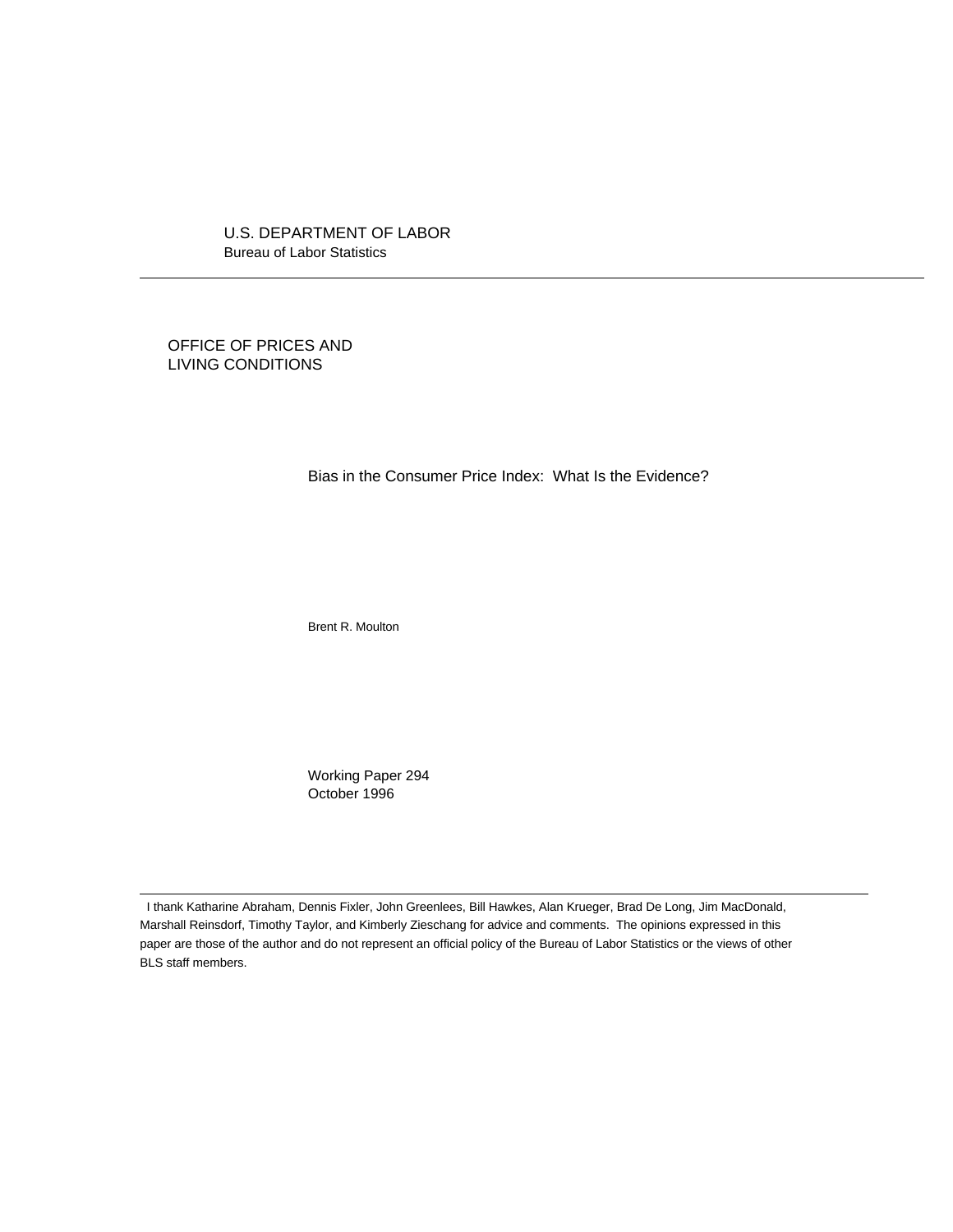U.S. DEPARTMENT OF LABOR Bureau of Labor Statistics

OFFICE OF PRICES AND LIVING CONDITIONS

 $\overline{a}$ 

 $\overline{a}$ 

Bias in the Consumer Price Index: What Is the Evidence?

Brent R. Moulton

Working Paper 294 October 1996

 I thank Katharine Abraham, Dennis Fixler, John Greenlees, Bill Hawkes, Alan Krueger, Brad De Long, Jim MacDonald, Marshall Reinsdorf, Timothy Taylor, and Kimberly Zieschang for advice and comments. The opinions expressed in this paper are those of the author and do not represent an official policy of the Bureau of Labor Statistics or the views of other BLS staff members.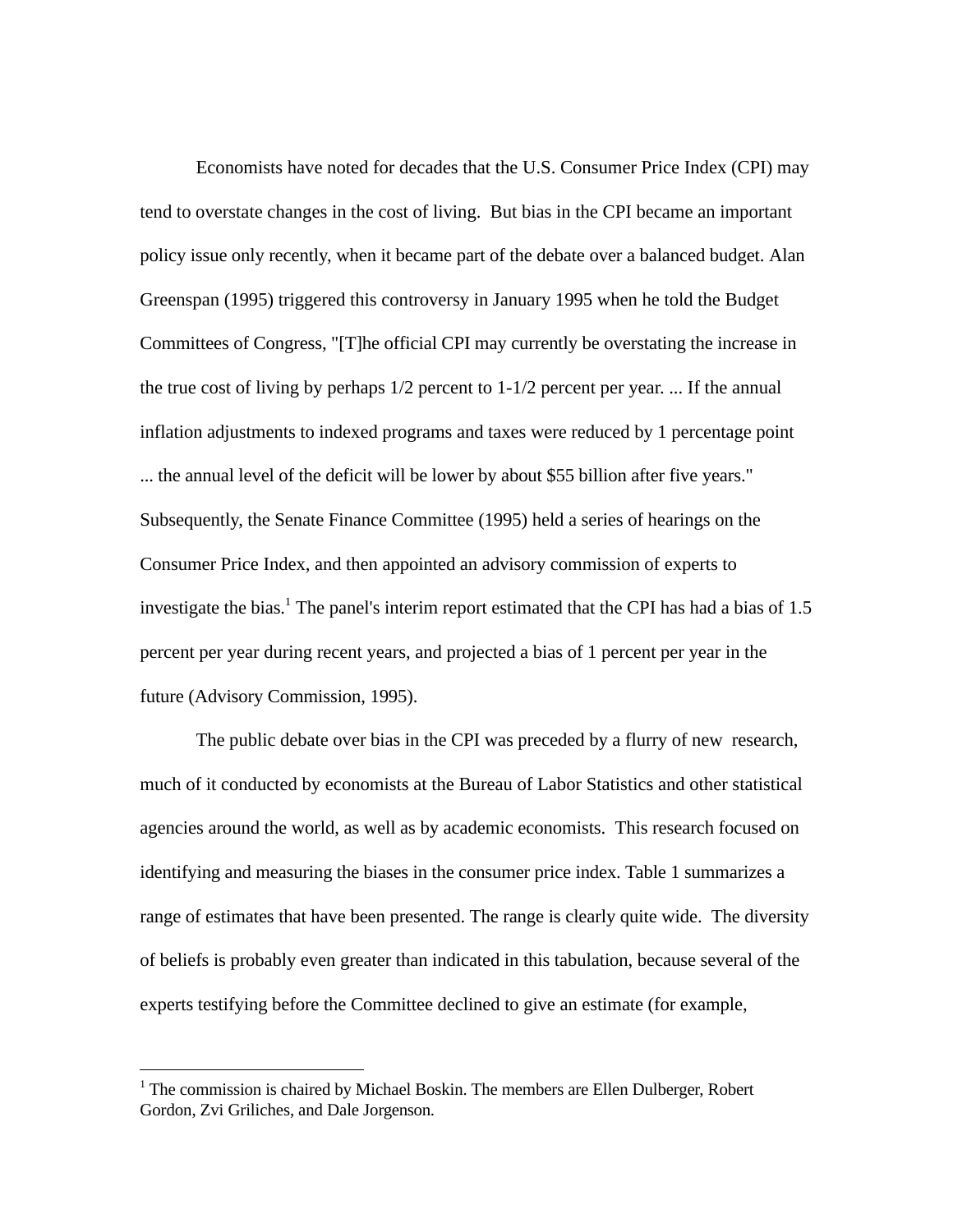Economists have noted for decades that the U.S. Consumer Price Index (CPI) may tend to overstate changes in the cost of living. But bias in the CPI became an important policy issue only recently, when it became part of the debate over a balanced budget. Alan Greenspan (1995) triggered this controversy in January 1995 when he told the Budget Committees of Congress, "[T]he official CPI may currently be overstating the increase in the true cost of living by perhaps 1/2 percent to 1-1/2 percent per year. ... If the annual inflation adjustments to indexed programs and taxes were reduced by 1 percentage point ... the annual level of the deficit will be lower by about \$55 billion after five years." Subsequently, the Senate Finance Committee (1995) held a series of hearings on the Consumer Price Index, and then appointed an advisory commission of experts to investigate the bias.<sup>1</sup> The panel's interim report estimated that the CPI has had a bias of 1.5 percent per year during recent years, and projected a bias of 1 percent per year in the future (Advisory Commission, 1995).

The public debate over bias in the CPI was preceded by a flurry of new research, much of it conducted by economists at the Bureau of Labor Statistics and other statistical agencies around the world, as well as by academic economists. This research focused on identifying and measuring the biases in the consumer price index. Table 1 summarizes a range of estimates that have been presented. The range is clearly quite wide. The diversity of beliefs is probably even greater than indicated in this tabulation, because several of the experts testifying before the Committee declined to give an estimate (for example,

-

 $1$  The commission is chaired by Michael Boskin. The members are Ellen Dulberger, Robert Gordon, Zvi Griliches, and Dale Jorgenson.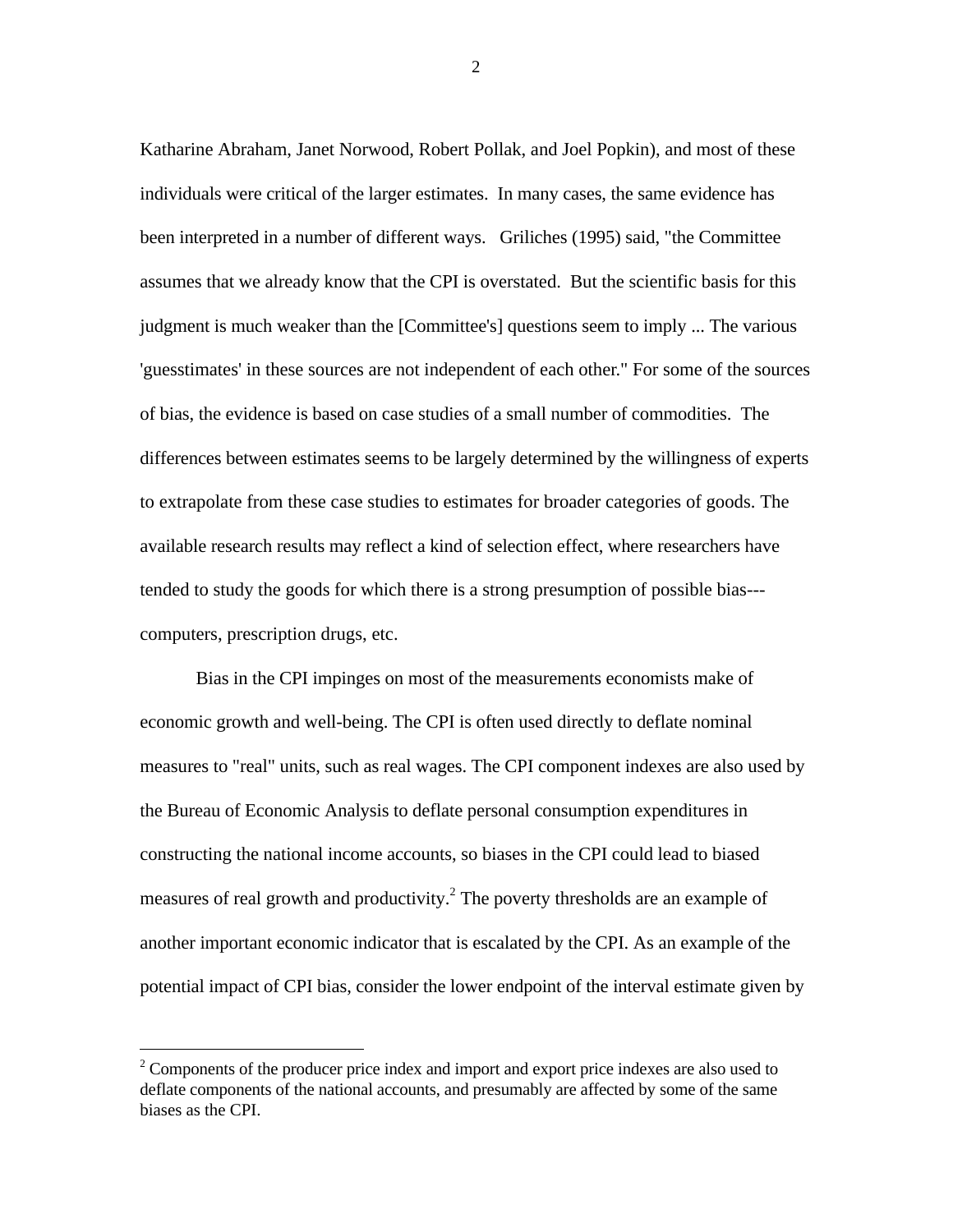Katharine Abraham, Janet Norwood, Robert Pollak, and Joel Popkin), and most of these individuals were critical of the larger estimates. In many cases, the same evidence has been interpreted in a number of different ways. Griliches (1995) said, "the Committee assumes that we already know that the CPI is overstated. But the scientific basis for this judgment is much weaker than the [Committee's] questions seem to imply ... The various 'guesstimates' in these sources are not independent of each other." For some of the sources of bias, the evidence is based on case studies of a small number of commodities. The differences between estimates seems to be largely determined by the willingness of experts to extrapolate from these case studies to estimates for broader categories of goods. The available research results may reflect a kind of selection effect, where researchers have tended to study the goods for which there is a strong presumption of possible bias-- computers, prescription drugs, etc.

Bias in the CPI impinges on most of the measurements economists make of economic growth and well-being. The CPI is often used directly to deflate nominal measures to "real" units, such as real wages. The CPI component indexes are also used by the Bureau of Economic Analysis to deflate personal consumption expenditures in constructing the national income accounts, so biases in the CPI could lead to biased measures of real growth and productivity.<sup>2</sup> The poverty thresholds are an example of another important economic indicator that is escalated by the CPI. As an example of the potential impact of CPI bias, consider the lower endpoint of the interval estimate given by

 $\overline{a}$ 

 $2^2$  Components of the producer price index and import and export price indexes are also used to deflate components of the national accounts, and presumably are affected by some of the same biases as the CPI.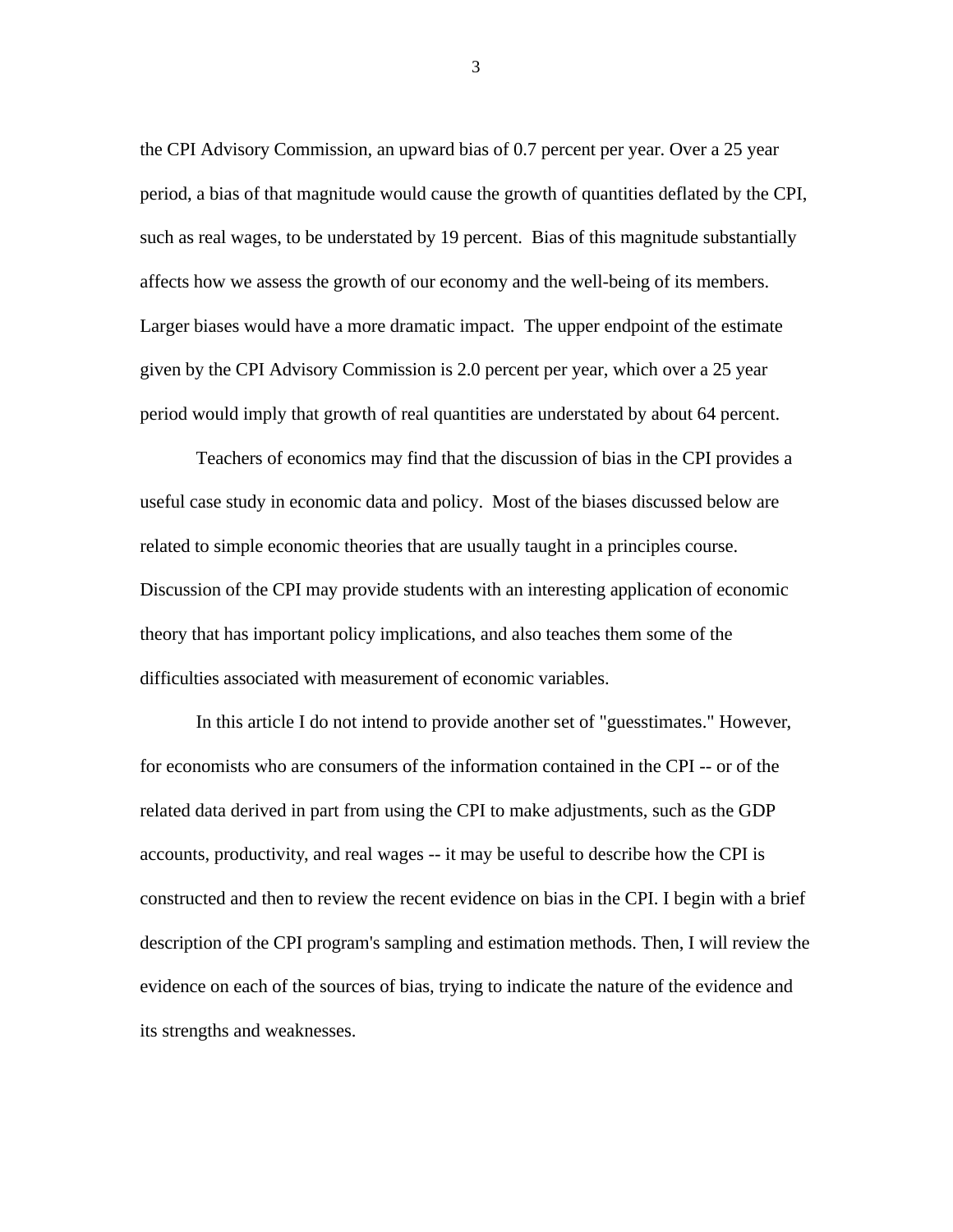the CPI Advisory Commission, an upward bias of 0.7 percent per year. Over a 25 year period, a bias of that magnitude would cause the growth of quantities deflated by the CPI, such as real wages, to be understated by 19 percent. Bias of this magnitude substantially affects how we assess the growth of our economy and the well-being of its members. Larger biases would have a more dramatic impact. The upper endpoint of the estimate given by the CPI Advisory Commission is 2.0 percent per year, which over a 25 year period would imply that growth of real quantities are understated by about 64 percent.

Teachers of economics may find that the discussion of bias in the CPI provides a useful case study in economic data and policy. Most of the biases discussed below are related to simple economic theories that are usually taught in a principles course. Discussion of the CPI may provide students with an interesting application of economic theory that has important policy implications, and also teaches them some of the difficulties associated with measurement of economic variables.

In this article I do not intend to provide another set of "guesstimates." However, for economists who are consumers of the information contained in the CPI -- or of the related data derived in part from using the CPI to make adjustments, such as the GDP accounts, productivity, and real wages -- it may be useful to describe how the CPI is constructed and then to review the recent evidence on bias in the CPI. I begin with a brief description of the CPI program's sampling and estimation methods. Then, I will review the evidence on each of the sources of bias, trying to indicate the nature of the evidence and its strengths and weaknesses.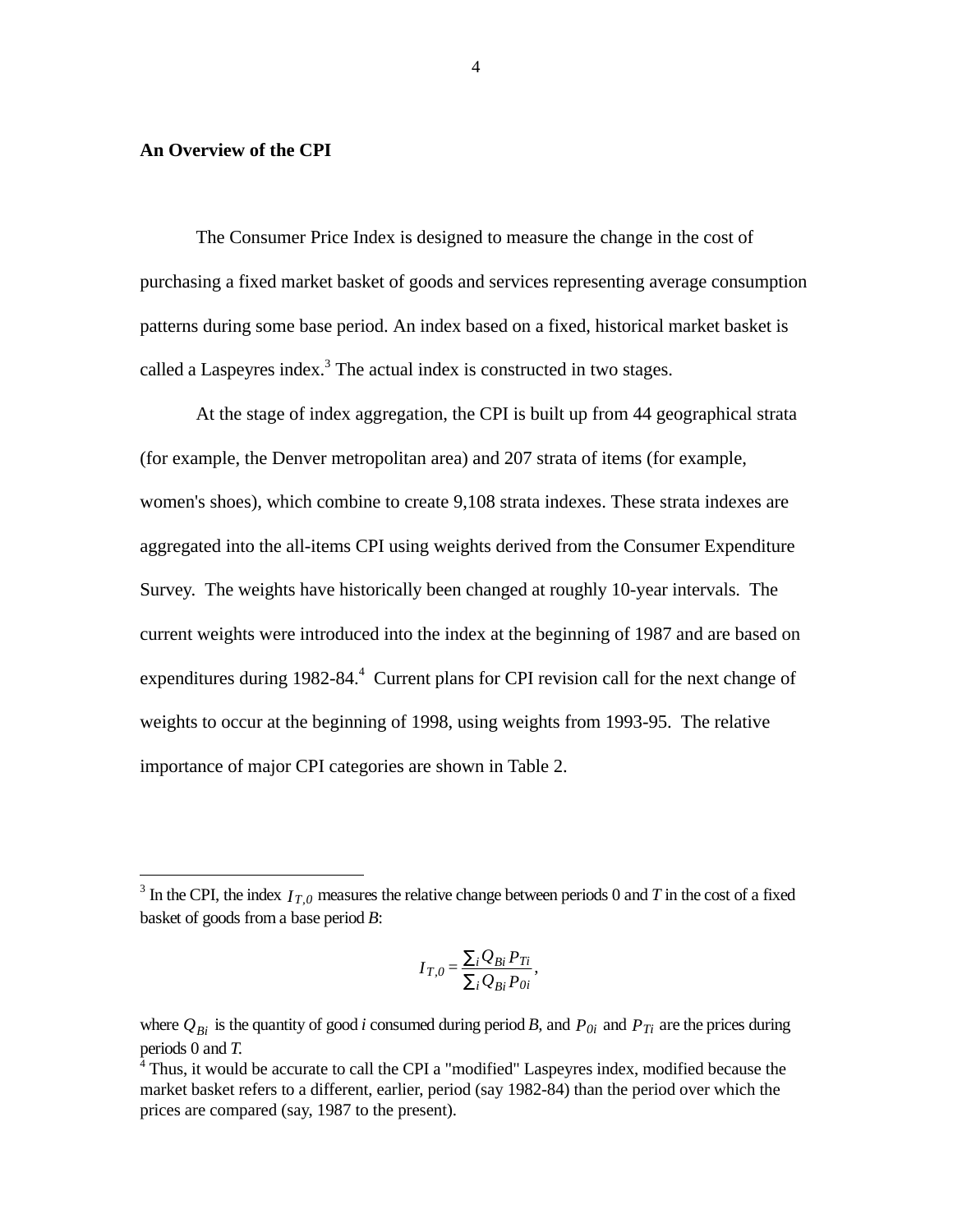#### **An Overview of the CPI**

 $\overline{a}$ 

The Consumer Price Index is designed to measure the change in the cost of purchasing a fixed market basket of goods and services representing average consumption patterns during some base period. An index based on a fixed, historical market basket is called a Laspeyres index. $3$  The actual index is constructed in two stages.

At the stage of index aggregation, the CPI is built up from 44 geographical strata (for example, the Denver metropolitan area) and 207 strata of items (for example, women's shoes), which combine to create 9,108 strata indexes. These strata indexes are aggregated into the all-items CPI using weights derived from the Consumer Expenditure Survey. The weights have historically been changed at roughly 10-year intervals. The current weights were introduced into the index at the beginning of 1987 and are based on expenditures during 1982-84.<sup>4</sup> Current plans for CPI revision call for the next change of weights to occur at the beginning of 1998, using weights from 1993-95. The relative importance of major CPI categories are shown in Table 2.

$$
I_{T,0} = \frac{\sum_i Q_{Bi} P_{Ti}}{\sum_i Q_{Bi} P_{0i}},
$$

<sup>&</sup>lt;sup>3</sup> In the CPI, the index  $I_{T,0}$  measures the relative change between periods 0 and *T* in the cost of a fixed basket of goods from a base period *B*:

where  $Q_{Bi}$  is the quantity of good *i* consumed during period *B*, and  $P_{0i}$  and  $P_{Ti}$  are the prices during periods 0 and *T.*

<sup>&</sup>lt;sup>4</sup> Thus, it would be accurate to call the CPI a "modified" Laspeyres index, modified because the market basket refers to a different, earlier, period (say 1982-84) than the period over which the prices are compared (say, 1987 to the present).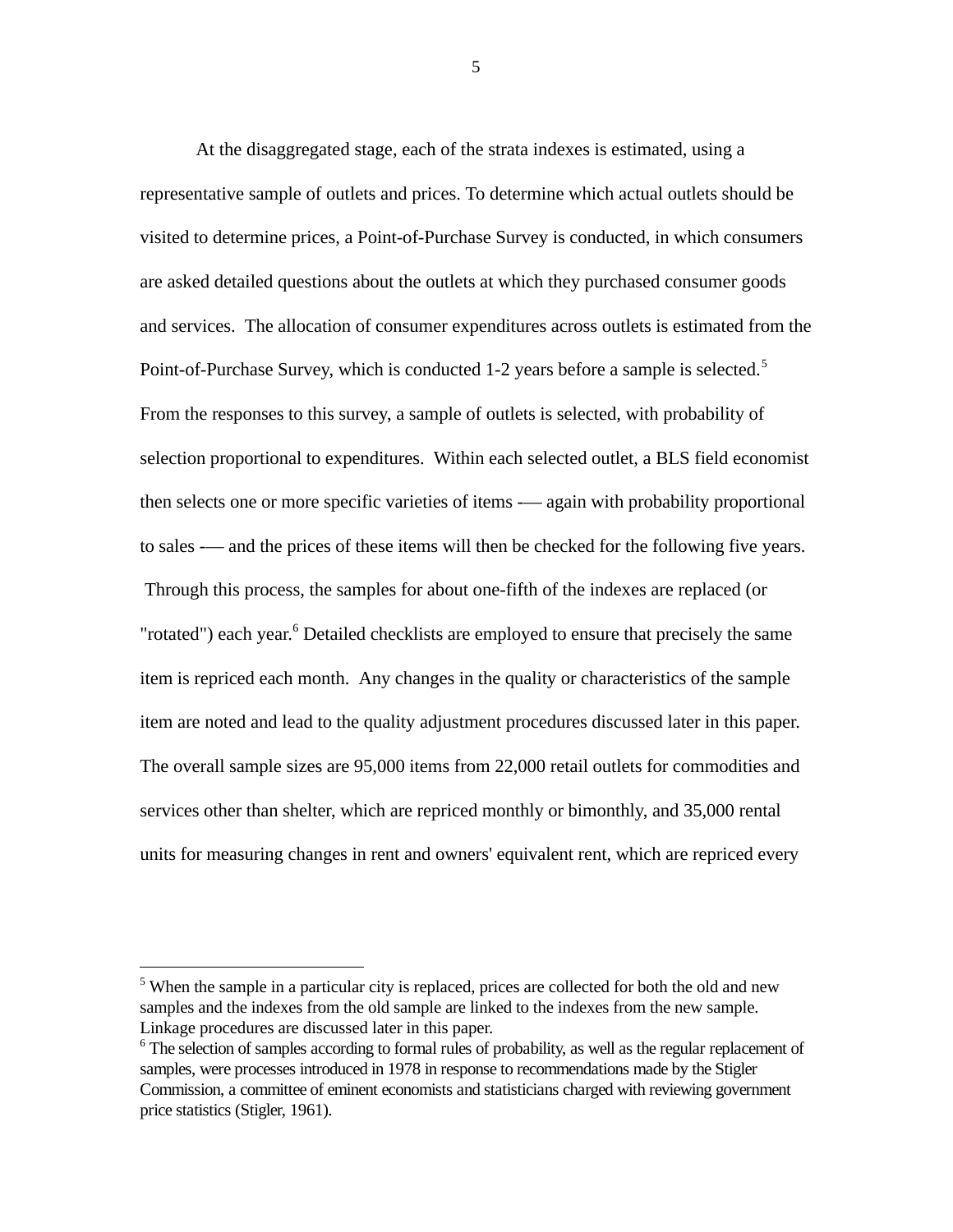At the disaggregated stage, each of the strata indexes is estimated, using a representative sample of outlets and prices. To determine which actual outlets should be visited to determine prices, a Point-of-Purchase Survey is conducted, in which consumers are asked detailed questions about the outlets at which they purchased consumer goods and services. The allocation of consumer expenditures across outlets is estimated from the Point-of-Purchase Survey, which is conducted 1-2 years before a sample is selected.<sup>5</sup> From the responses to this survey, a sample of outlets is selected, with probability of selection proportional to expenditures. Within each selected outlet, a BLS field economist then selects one or more specific varieties of items -— again with probability proportional to sales -— and the prices of these items will then be checked for the following five years. Through this process, the samples for about one-fifth of the indexes are replaced (or "rotated") each year.<sup>6</sup> Detailed checklists are employed to ensure that precisely the same item is repriced each month. Any changes in the quality or characteristics of the sample item are noted and lead to the quality adjustment procedures discussed later in this paper. The overall sample sizes are 95,000 items from 22,000 retail outlets for commodities and services other than shelter, which are repriced monthly or bimonthly, and 35,000 rental units for measuring changes in rent and owners' equivalent rent, which are repriced every

-

<sup>&</sup>lt;sup>5</sup> When the sample in a particular city is replaced, prices are collected for both the old and new samples and the indexes from the old sample are linked to the indexes from the new sample. Linkage procedures are discussed later in this paper.

<sup>&</sup>lt;sup>6</sup> The selection of samples according to formal rules of probability, as well as the regular replacement of samples, were processes introduced in 1978 in response to recommendations made by the Stigler Commission, a committee of eminent economists and statisticians charged with reviewing government price statistics (Stigler, 1961).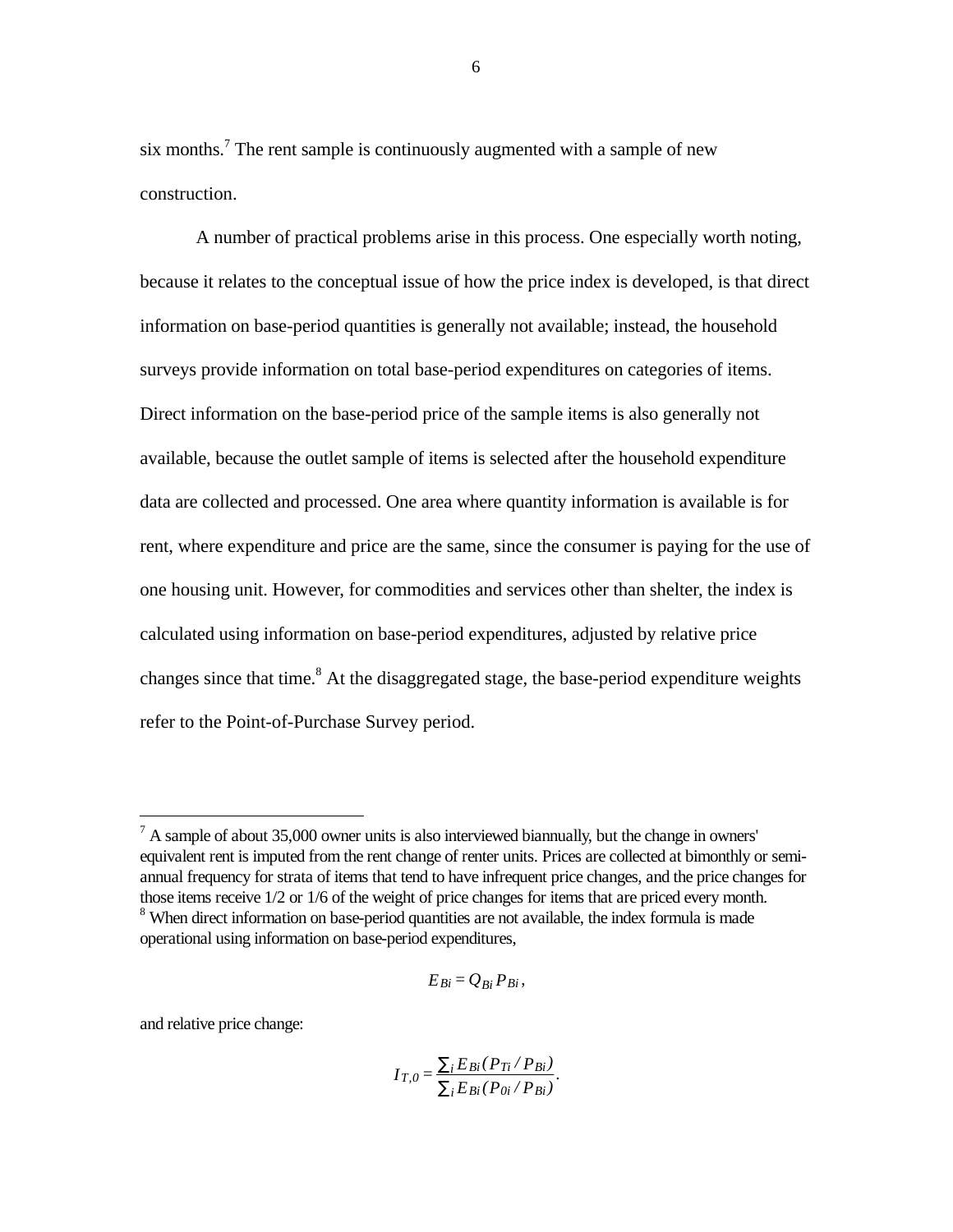six months.<sup>7</sup> The rent sample is continuously augmented with a sample of new construction.

A number of practical problems arise in this process. One especially worth noting, because it relates to the conceptual issue of how the price index is developed, is that direct information on base-period quantities is generally not available; instead, the household surveys provide information on total base-period expenditures on categories of items. Direct information on the base-period price of the sample items is also generally not available, because the outlet sample of items is selected after the household expenditure data are collected and processed. One area where quantity information is available is for rent, where expenditure and price are the same, since the consumer is paying for the use of one housing unit. However, for commodities and services other than shelter, the index is calculated using information on base-period expenditures, adjusted by relative price changes since that time.<sup>8</sup> At the disaggregated stage, the base-period expenditure weights refer to the Point-of-Purchase Survey period.

$$
E_{Bi}=Q_{Bi}P_{Bi},
$$

and relative price change:

 $\overline{a}$ 

$$
I_{T,0} = \frac{\sum_{i} E_{Bi} (P_{Ti} / P_{Bi})}{\sum_{i} E_{Bi} (P_{0i} / P_{Bi})}.
$$

 $<sup>7</sup>$  A sample of about 35,000 owner units is also interviewed biannually, but the change in owners'</sup> equivalent rent is imputed from the rent change of renter units. Prices are collected at bimonthly or semiannual frequency for strata of items that tend to have infrequent price changes, and the price changes for those items receive 1/2 or 1/6 of the weight of price changes for items that are priced every month. <sup>8</sup> When direct information on base-period quantities are not available, the index formula is made operational using information on base-period expenditures,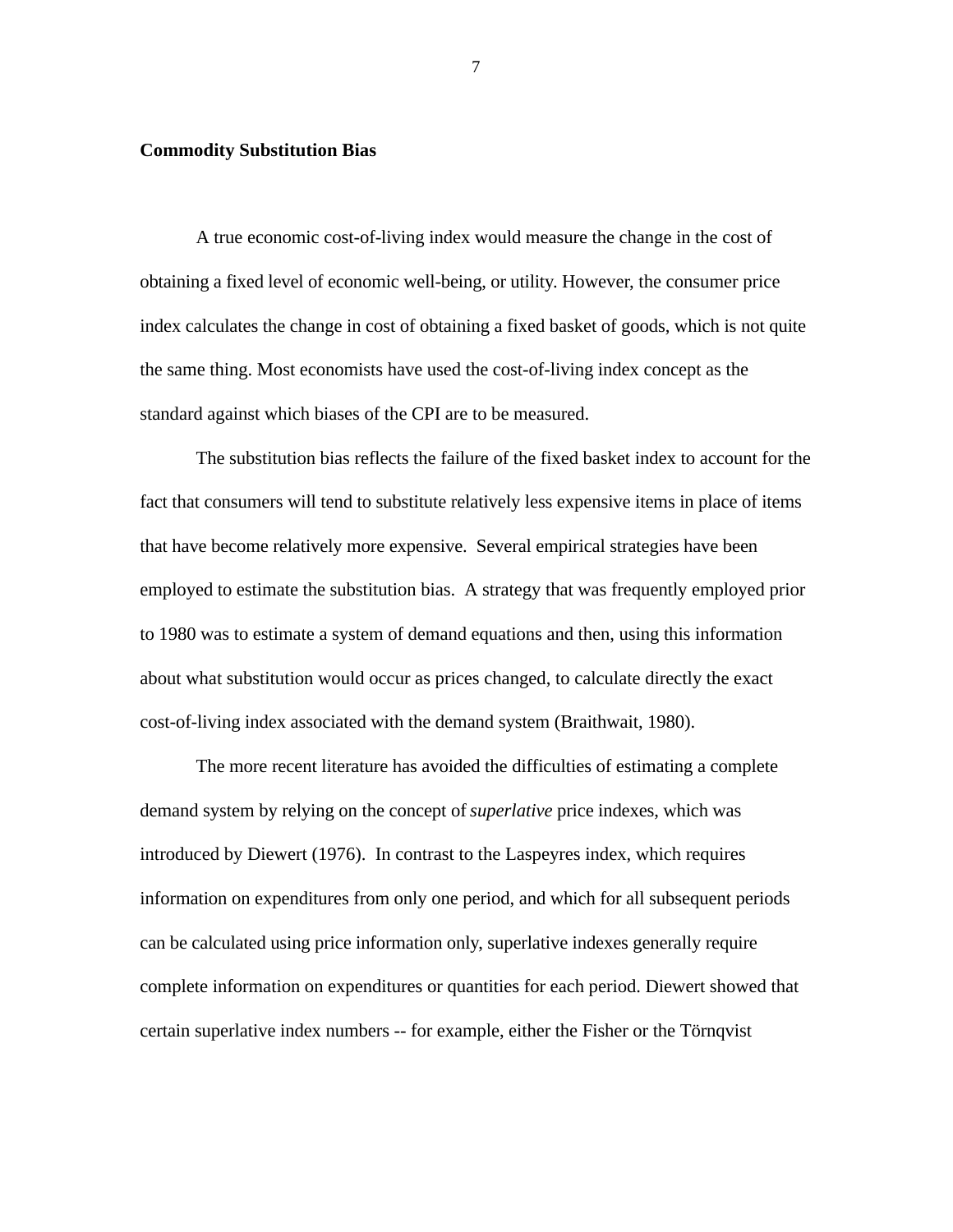#### **Commodity Substitution Bias**

 A true economic cost-of-living index would measure the change in the cost of obtaining a fixed level of economic well-being, or utility. However, the consumer price index calculates the change in cost of obtaining a fixed basket of goods, which is not quite the same thing. Most economists have used the cost-of-living index concept as the standard against which biases of the CPI are to be measured.

The substitution bias reflects the failure of the fixed basket index to account for the fact that consumers will tend to substitute relatively less expensive items in place of items that have become relatively more expensive. Several empirical strategies have been employed to estimate the substitution bias. A strategy that was frequently employed prior to 1980 was to estimate a system of demand equations and then, using this information about what substitution would occur as prices changed, to calculate directly the exact cost-of-living index associated with the demand system (Braithwait, 1980).

The more recent literature has avoided the difficulties of estimating a complete demand system by relying on the concept of *superlative* price indexes, which was introduced by Diewert (1976). In contrast to the Laspeyres index, which requires information on expenditures from only one period, and which for all subsequent periods can be calculated using price information only, superlative indexes generally require complete information on expenditures or quantities for each period. Diewert showed that certain superlative index numbers -- for example, either the Fisher or the Törnqvist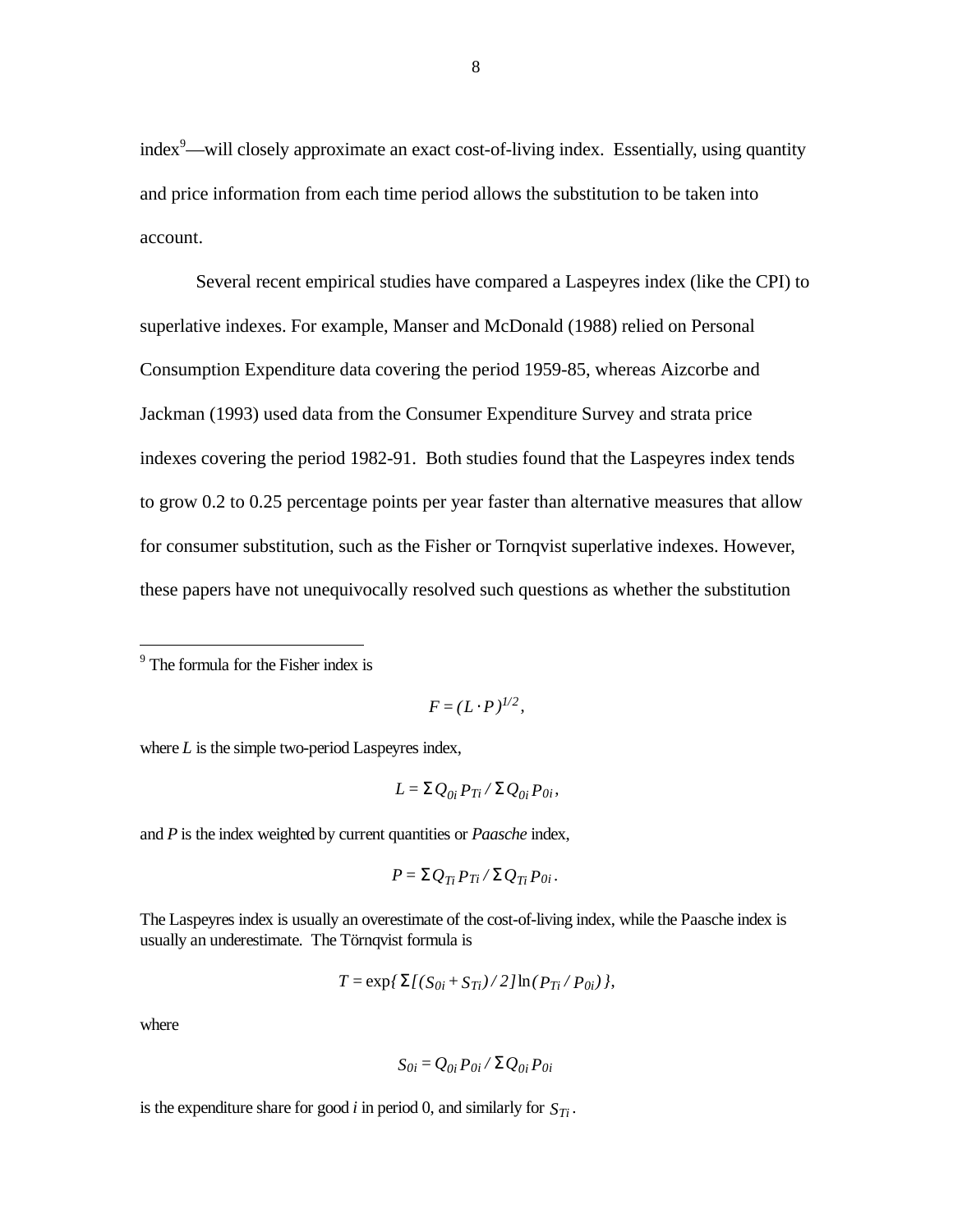index<sup>9</sup>—will closely approximate an exact cost-of-living index. Essentially, using quantity and price information from each time period allows the substitution to be taken into account.

Several recent empirical studies have compared a Laspeyres index (like the CPI) to superlative indexes. For example, Manser and McDonald (1988) relied on Personal Consumption Expenditure data covering the period 1959-85, whereas Aizcorbe and Jackman (1993) used data from the Consumer Expenditure Survey and strata price indexes covering the period 1982-91. Both studies found that the Laspeyres index tends to grow 0.2 to 0.25 percentage points per year faster than alternative measures that allow for consumer substitution, such as the Fisher or Tornqvist superlative indexes. However, these papers have not unequivocally resolved such questions as whether the substitution

$$
F=(L\cdot P)^{1/2},
$$

where *L* is the simple two-period Laspeyres index,

$$
L = \Sigma Q_{0i} P_{Ti} / \Sigma Q_{0i} P_{0i},
$$

and *P* is the index weighted by current quantities or *Paasche* index,

$$
P = \Sigma Q_{Ti} P_{Ti} / \Sigma Q_{Ti} P_{0i}.
$$

The Laspeyres index is usually an overestimate of the cost-of-living index, while the Paasche index is usually an underestimate. The Törnqvist formula is

$$
T = \exp{\sum [(S_{0i} + S_{Ti})/2] \ln(P_{Ti}/P_{0i})},
$$

where

 $\overline{a}$ 

$$
S_{0i} = Q_{0i} P_{0i} / \Sigma Q_{0i} P_{0i}
$$

is the expenditure share for good *i* in period 0, and similarly for  $S_{Ti}$ .

<sup>&</sup>lt;sup>9</sup> The formula for the Fisher index is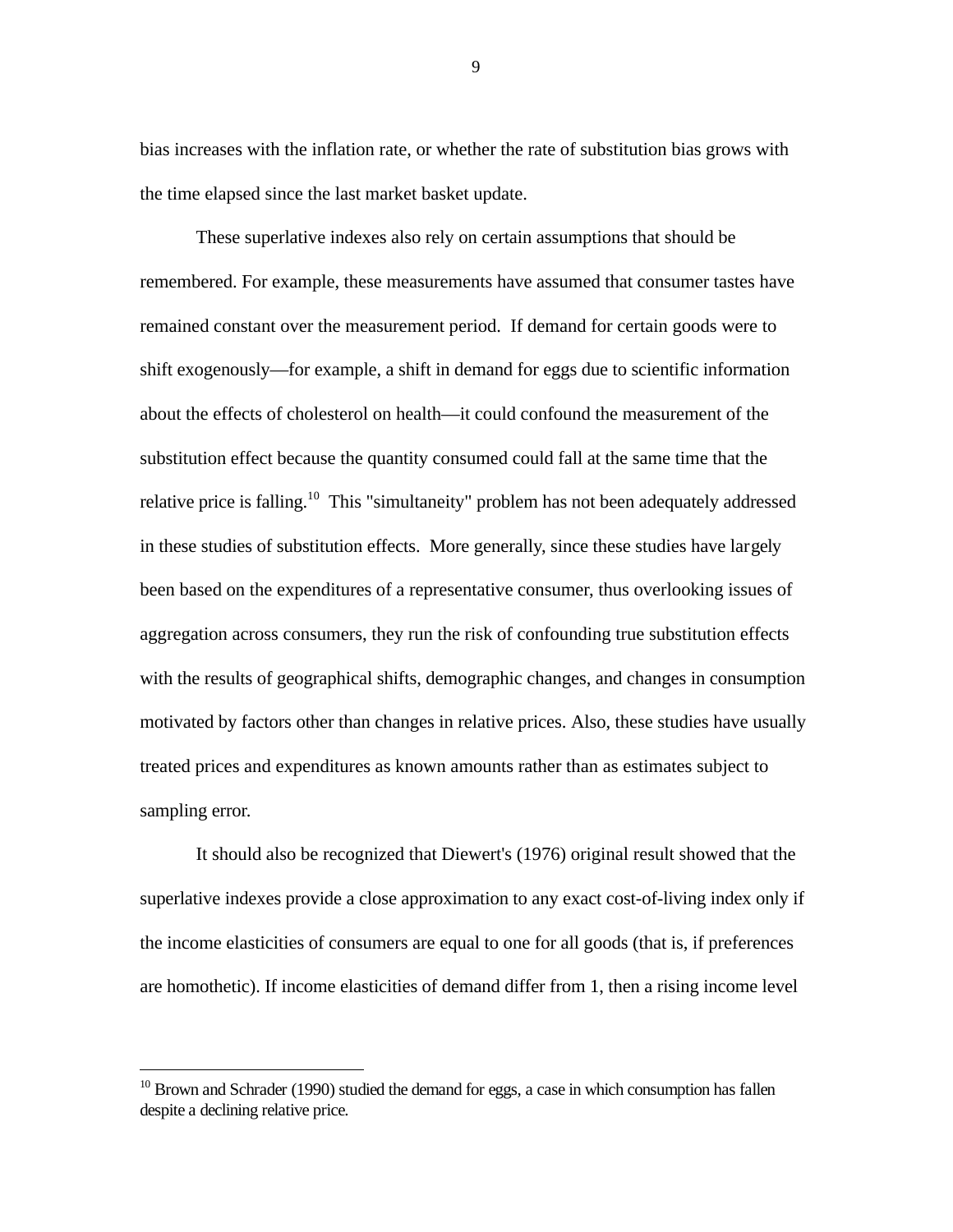bias increases with the inflation rate, or whether the rate of substitution bias grows with the time elapsed since the last market basket update.

These superlative indexes also rely on certain assumptions that should be remembered. For example, these measurements have assumed that consumer tastes have remained constant over the measurement period. If demand for certain goods were to shift exogenously—for example, a shift in demand for eggs due to scientific information about the effects of cholesterol on health—it could confound the measurement of the substitution effect because the quantity consumed could fall at the same time that the relative price is falling.<sup>10</sup> This "simultaneity" problem has not been adequately addressed in these studies of substitution effects. More generally, since these studies have largely been based on the expenditures of a representative consumer, thus overlooking issues of aggregation across consumers, they run the risk of confounding true substitution effects with the results of geographical shifts, demographic changes, and changes in consumption motivated by factors other than changes in relative prices. Also, these studies have usually treated prices and expenditures as known amounts rather than as estimates subject to sampling error.

It should also be recognized that Diewert's (1976) original result showed that the superlative indexes provide a close approximation to any exact cost-of-living index only if the income elasticities of consumers are equal to one for all goods (that is, if preferences are homothetic). If income elasticities of demand differ from 1, then a rising income level

-

 $10$  Brown and Schrader (1990) studied the demand for eggs, a case in which consumption has fallen despite a declining relative price.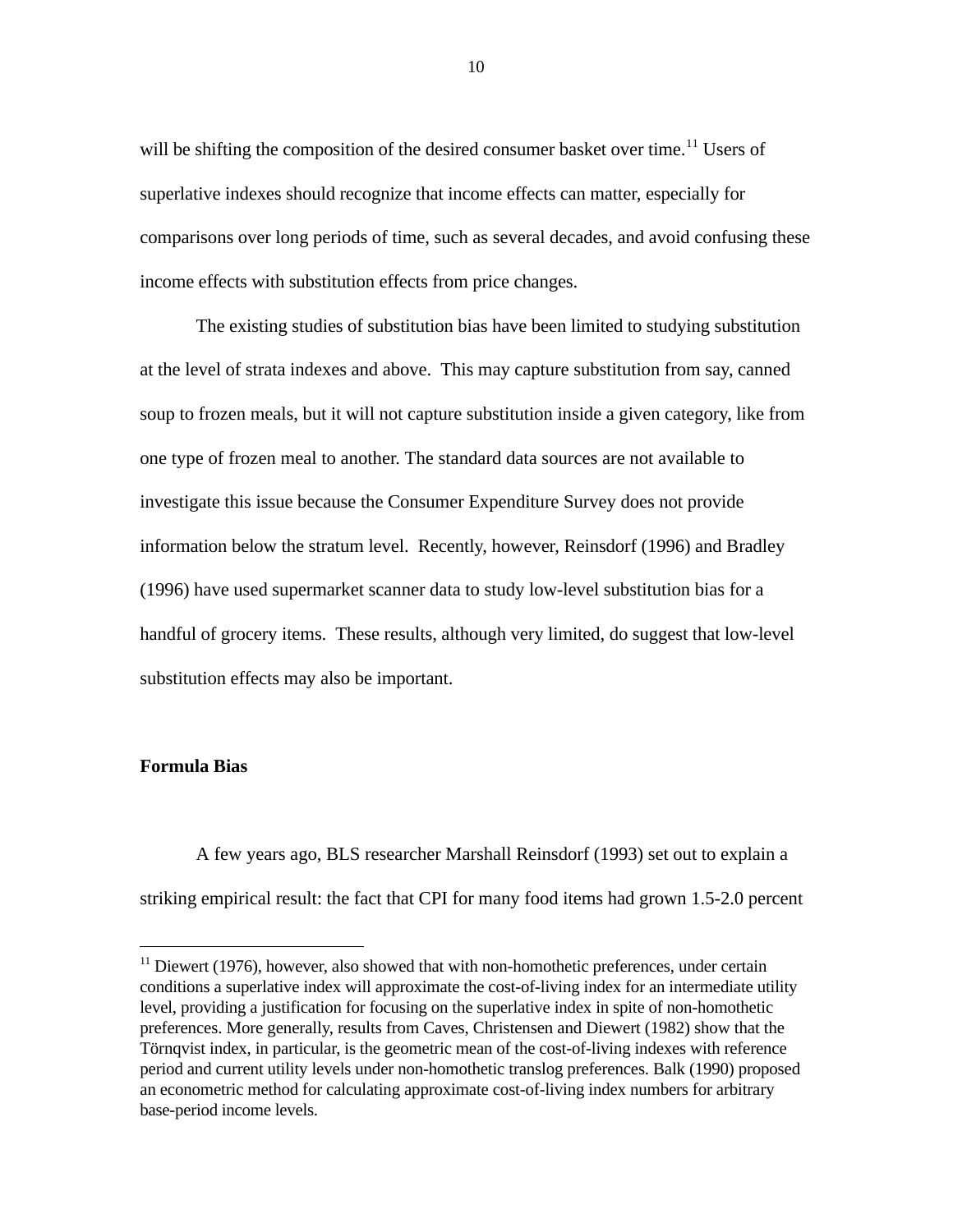will be shifting the composition of the desired consumer basket over time.<sup>11</sup> Users of superlative indexes should recognize that income effects can matter, especially for comparisons over long periods of time, such as several decades, and avoid confusing these income effects with substitution effects from price changes.

The existing studies of substitution bias have been limited to studying substitution at the level of strata indexes and above. This may capture substitution from say, canned soup to frozen meals, but it will not capture substitution inside a given category, like from one type of frozen meal to another. The standard data sources are not available to investigate this issue because the Consumer Expenditure Survey does not provide information below the stratum level. Recently, however, Reinsdorf (1996) and Bradley (1996) have used supermarket scanner data to study low-level substitution bias for a handful of grocery items. These results, although very limited, do suggest that low-level substitution effects may also be important.

# **Formula Bias**

 $\overline{a}$ 

A few years ago, BLS researcher Marshall Reinsdorf (1993) set out to explain a striking empirical result: the fact that CPI for many food items had grown 1.5-2.0 percent

 $11$  Diewert (1976), however, also showed that with non-homothetic preferences, under certain conditions a superlative index will approximate the cost-of-living index for an intermediate utility level, providing a justification for focusing on the superlative index in spite of non-homothetic preferences. More generally, results from Caves, Christensen and Diewert (1982) show that the Törnqvist index, in particular, is the geometric mean of the cost-of-living indexes with reference period and current utility levels under non-homothetic translog preferences. Balk (1990) proposed an econometric method for calculating approximate cost-of-living index numbers for arbitrary base-period income levels.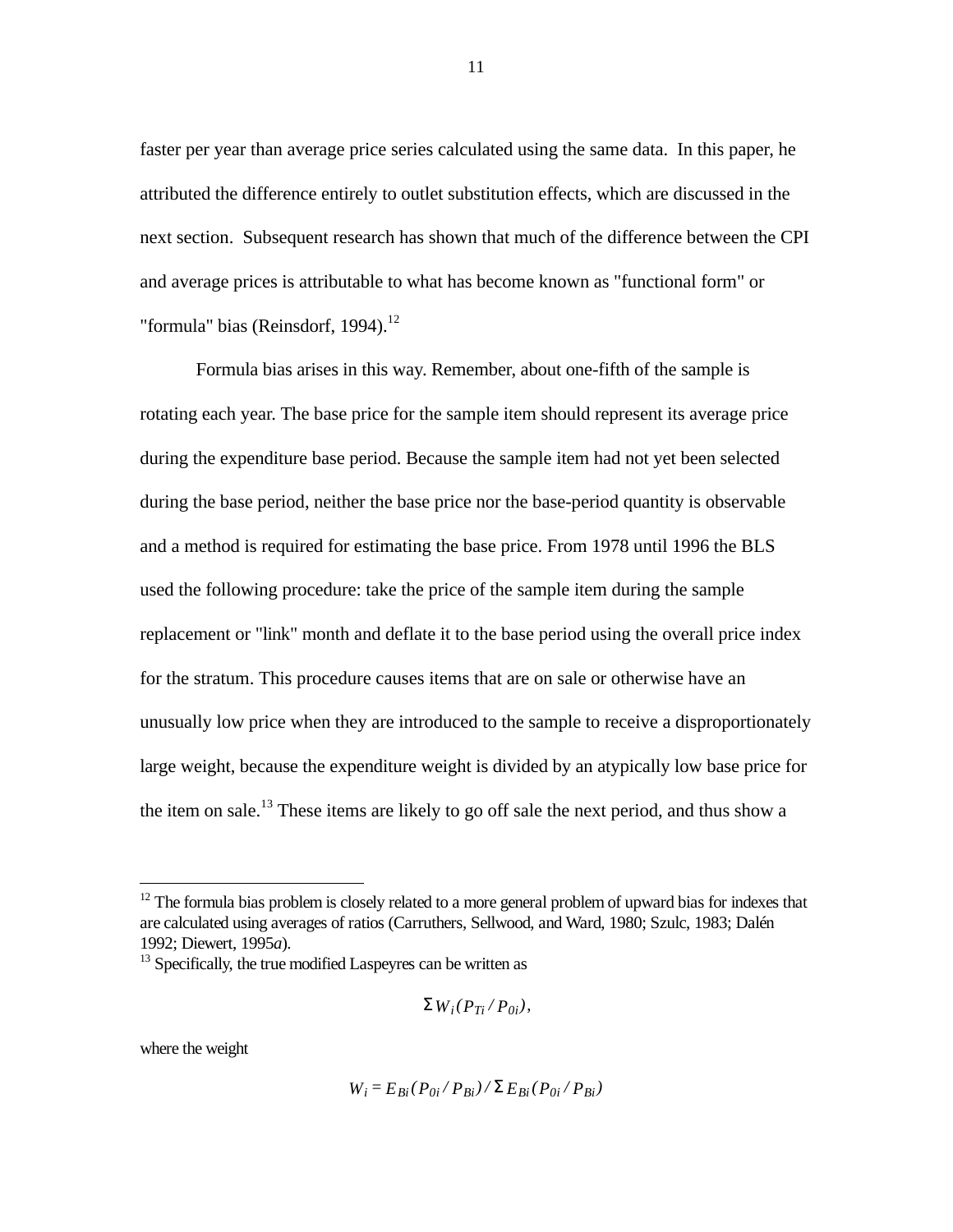faster per year than average price series calculated using the same data. In this paper, he attributed the difference entirely to outlet substitution effects, which are discussed in the next section. Subsequent research has shown that much of the difference between the CPI and average prices is attributable to what has become known as "functional form" or "formula" bias (Reinsdorf, 1994). $^{12}$ 

Formula bias arises in this way. Remember, about one-fifth of the sample is rotating each year. The base price for the sample item should represent its average price during the expenditure base period. Because the sample item had not yet been selected during the base period, neither the base price nor the base-period quantity is observable and a method is required for estimating the base price. From 1978 until 1996 the BLS used the following procedure: take the price of the sample item during the sample replacement or "link" month and deflate it to the base period using the overall price index for the stratum. This procedure causes items that are on sale or otherwise have an unusually low price when they are introduced to the sample to receive a disproportionately large weight, because the expenditure weight is divided by an atypically low base price for the item on sale.<sup>13</sup> These items are likely to go off sale the next period, and thus show a

 $13$  Specifically, the true modified Laspeyres can be written as

$$
\Sigma W_i(P_{Ti}/P_{0i}),
$$

where the weight

 $\overline{a}$ 

$$
W_i = E_{Bi} (P_{0i} / P_{Bi}) / \Sigma E_{Bi} (P_{0i} / P_{Bi})
$$

 $12$  The formula bias problem is closely related to a more general problem of upward bias for indexes that are calculated using averages of ratios (Carruthers, Sellwood, and Ward, 1980; Szulc, 1983; Dalén 1992; Diewert, 1995*a*).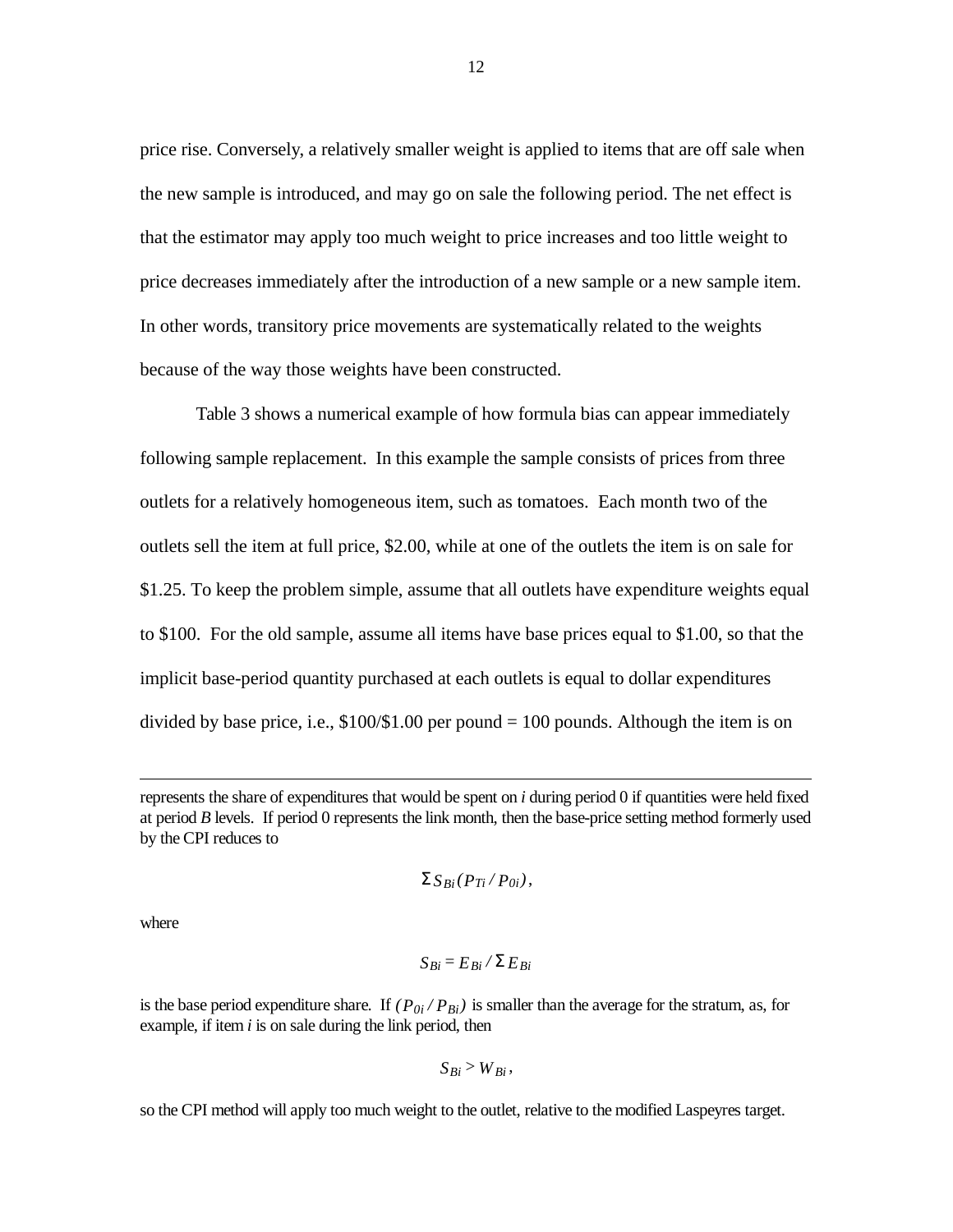price rise. Conversely, a relatively smaller weight is applied to items that are off sale when the new sample is introduced, and may go on sale the following period. The net effect is that the estimator may apply too much weight to price increases and too little weight to price decreases immediately after the introduction of a new sample or a new sample item. In other words, transitory price movements are systematically related to the weights because of the way those weights have been constructed.

Table 3 shows a numerical example of how formula bias can appear immediately following sample replacement. In this example the sample consists of prices from three outlets for a relatively homogeneous item, such as tomatoes. Each month two of the outlets sell the item at full price, \$2.00, while at one of the outlets the item is on sale for \$1.25. To keep the problem simple, assume that all outlets have expenditure weights equal to \$100. For the old sample, assume all items have base prices equal to \$1.00, so that the implicit base-period quantity purchased at each outlets is equal to dollar expenditures divided by base price, i.e.,  $$100/$1.00$  per pound = 100 pounds. Although the item is on

$$
\Sigma S_{Bi}(P_{Ti}/P_{0i}),
$$

where

-

$$
S_{Bi} = E_{Bi} / \Sigma E_{Bi}
$$

is the base period expenditure share. If  $(P_{0i}/P_{Bi})$  is smaller than the average for the stratum, as, for example, if item *i* is on sale during the link period, then

$$
S_{Bi} > W_{Bi},
$$

so the CPI method will apply too much weight to the outlet, relative to the modified Laspeyres target.

represents the share of expenditures that would be spent on *i* during period 0 if quantities were held fixed at period *B* levels. If period 0 represents the link month, then the base-price setting method formerly used by the CPI reduces to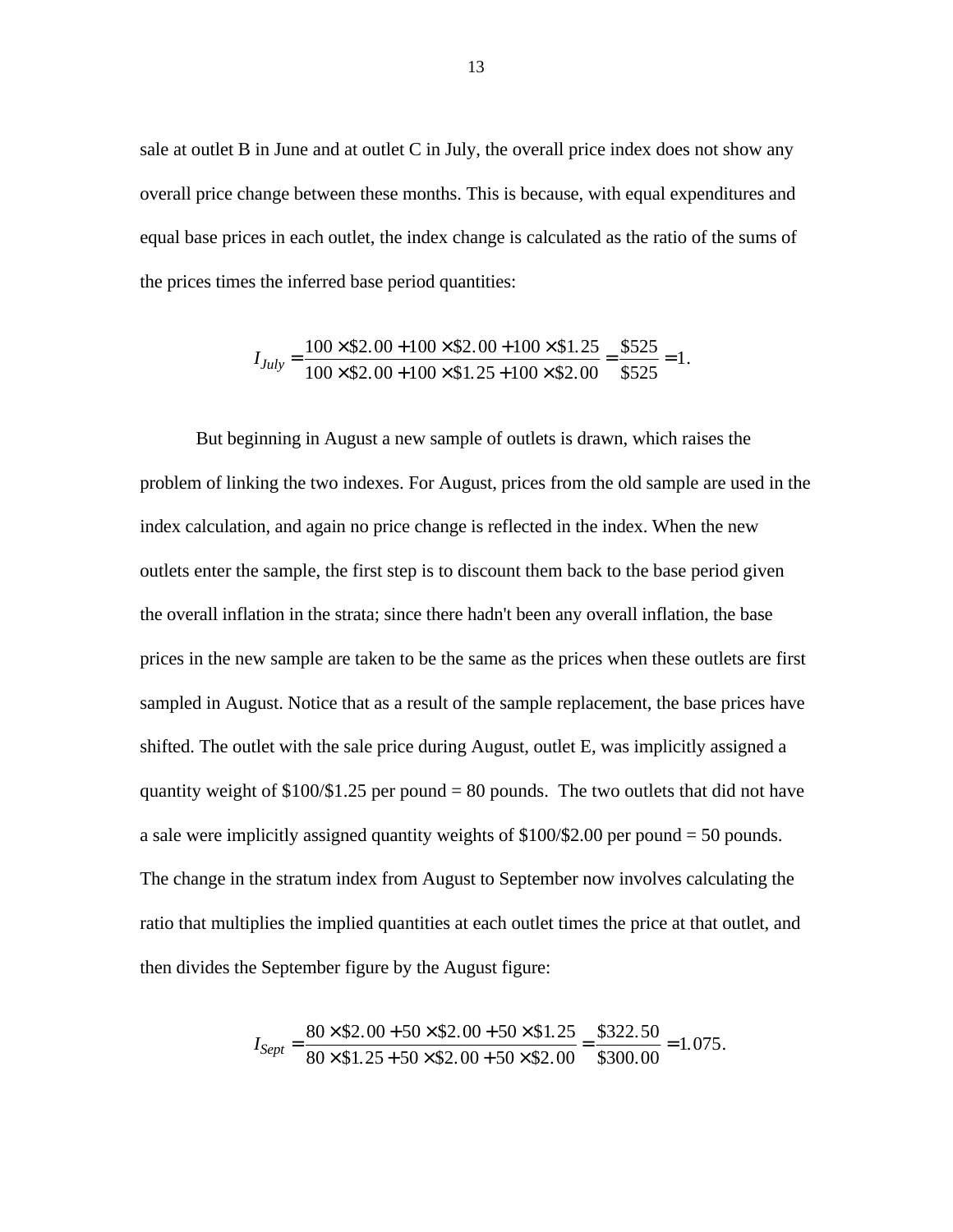sale at outlet B in June and at outlet C in July, the overall price index does not show any overall price change between these months. This is because, with equal expenditures and equal base prices in each outlet, the index change is calculated as the ratio of the sums of the prices times the inferred base period quantities:

$$
I_{July} = \frac{100 \times \$2.00 + 100 \times \$2.00 + 100 \times \$1.25}{100 \times \$2.00 + 100 \times \$1.25 + 100 \times \$2.00} = \frac{\$525}{\$525} = 1.
$$

But beginning in August a new sample of outlets is drawn, which raises the problem of linking the two indexes. For August, prices from the old sample are used in the index calculation, and again no price change is reflected in the index. When the new outlets enter the sample, the first step is to discount them back to the base period given the overall inflation in the strata; since there hadn't been any overall inflation, the base prices in the new sample are taken to be the same as the prices when these outlets are first sampled in August. Notice that as a result of the sample replacement, the base prices have shifted. The outlet with the sale price during August, outlet E, was implicitly assigned a quantity weight of  $$100/$1.25$  per pound = 80 pounds. The two outlets that did not have a sale were implicitly assigned quantity weights of \$100/\$2.00 per pound = 50 pounds. The change in the stratum index from August to September now involves calculating the ratio that multiplies the implied quantities at each outlet times the price at that outlet, and then divides the September figure by the August figure:

$$
I_{Sept} = \frac{80 \times \$2.00 + 50 \times \$2.00 + 50 \times \$1.25}{80 \times \$1.25 + 50 \times \$2.00 + 50 \times \$2.00} = \frac{\$322.50}{\$300.00} = 1.075.
$$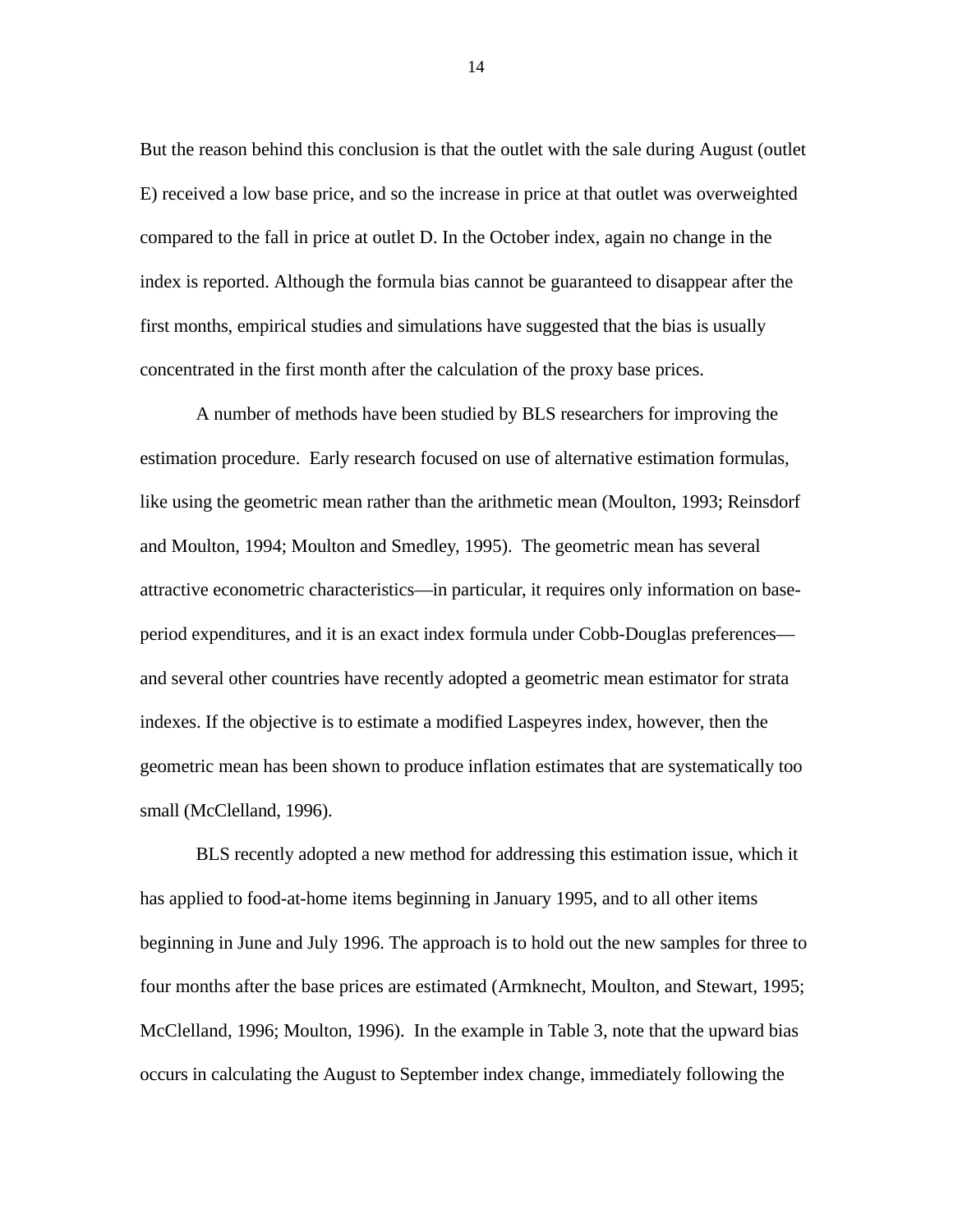But the reason behind this conclusion is that the outlet with the sale during August (outlet E) received a low base price, and so the increase in price at that outlet was overweighted compared to the fall in price at outlet D. In the October index, again no change in the index is reported. Although the formula bias cannot be guaranteed to disappear after the first months, empirical studies and simulations have suggested that the bias is usually concentrated in the first month after the calculation of the proxy base prices.

A number of methods have been studied by BLS researchers for improving the estimation procedure. Early research focused on use of alternative estimation formulas, like using the geometric mean rather than the arithmetic mean (Moulton, 1993; Reinsdorf and Moulton, 1994; Moulton and Smedley, 1995). The geometric mean has several attractive econometric characteristics—in particular, it requires only information on baseperiod expenditures, and it is an exact index formula under Cobb-Douglas preferences and several other countries have recently adopted a geometric mean estimator for strata indexes. If the objective is to estimate a modified Laspeyres index, however, then the geometric mean has been shown to produce inflation estimates that are systematically too small (McClelland, 1996).

BLS recently adopted a new method for addressing this estimation issue, which it has applied to food-at-home items beginning in January 1995, and to all other items beginning in June and July 1996. The approach is to hold out the new samples for three to four months after the base prices are estimated (Armknecht, Moulton, and Stewart, 1995; McClelland, 1996; Moulton, 1996). In the example in Table 3, note that the upward bias occurs in calculating the August to September index change, immediately following the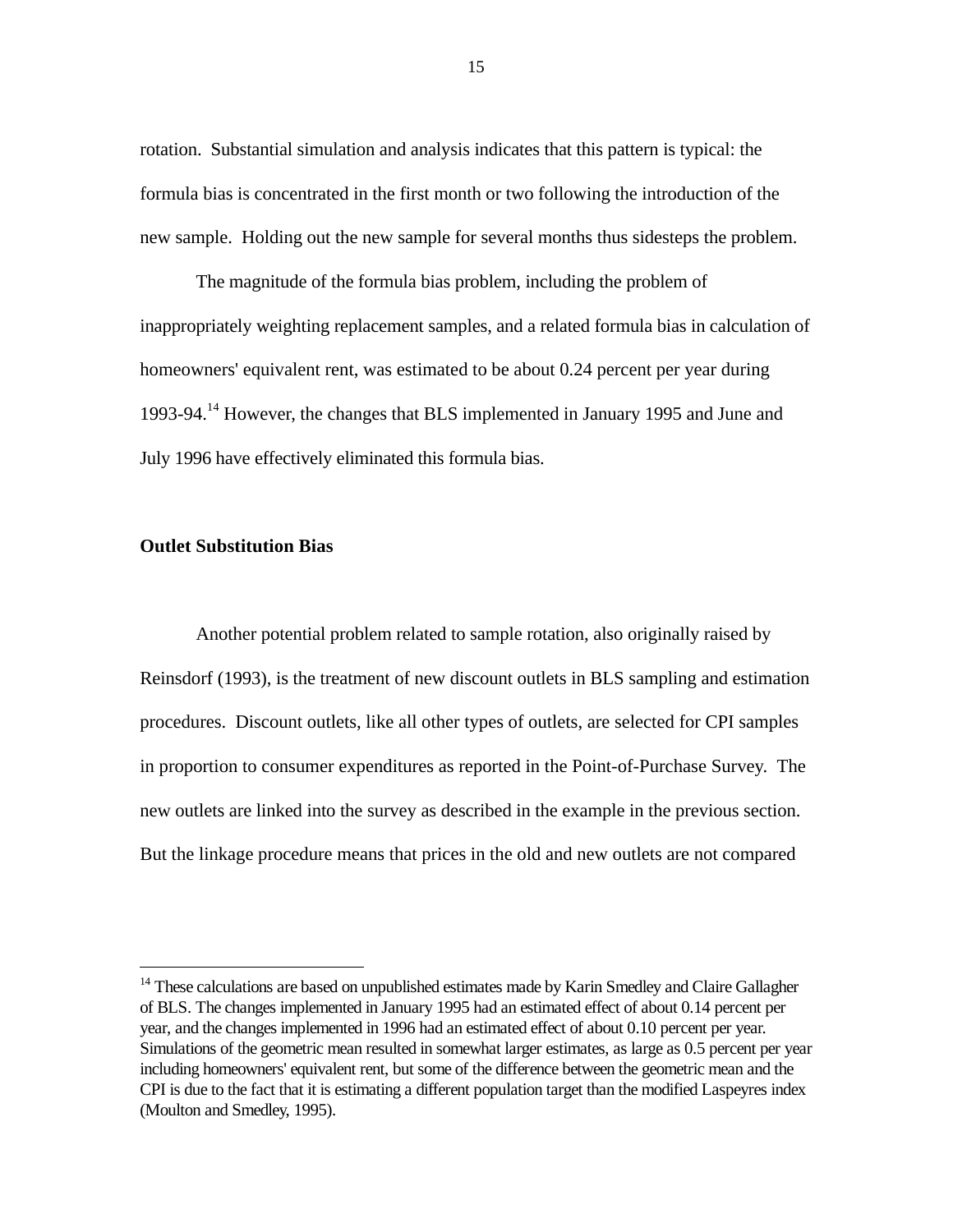rotation. Substantial simulation and analysis indicates that this pattern is typical: the formula bias is concentrated in the first month or two following the introduction of the new sample. Holding out the new sample for several months thus sidesteps the problem.

The magnitude of the formula bias problem, including the problem of inappropriately weighting replacement samples, and a related formula bias in calculation of homeowners' equivalent rent, was estimated to be about 0.24 percent per year during 1993-94.14 However, the changes that BLS implemented in January 1995 and June and July 1996 have effectively eliminated this formula bias.

### **Outlet Substitution Bias**

-

Another potential problem related to sample rotation, also originally raised by Reinsdorf (1993), is the treatment of new discount outlets in BLS sampling and estimation procedures. Discount outlets, like all other types of outlets, are selected for CPI samples in proportion to consumer expenditures as reported in the Point-of-Purchase Survey. The new outlets are linked into the survey as described in the example in the previous section. But the linkage procedure means that prices in the old and new outlets are not compared

<sup>&</sup>lt;sup>14</sup> These calculations are based on unpublished estimates made by Karin Smedley and Claire Gallagher of BLS. The changes implemented in January 1995 had an estimated effect of about 0.14 percent per year, and the changes implemented in 1996 had an estimated effect of about 0.10 percent per year. Simulations of the geometric mean resulted in somewhat larger estimates, as large as 0.5 percent per year including homeowners' equivalent rent, but some of the difference between the geometric mean and the CPI is due to the fact that it is estimating a different population target than the modified Laspeyres index (Moulton and Smedley, 1995).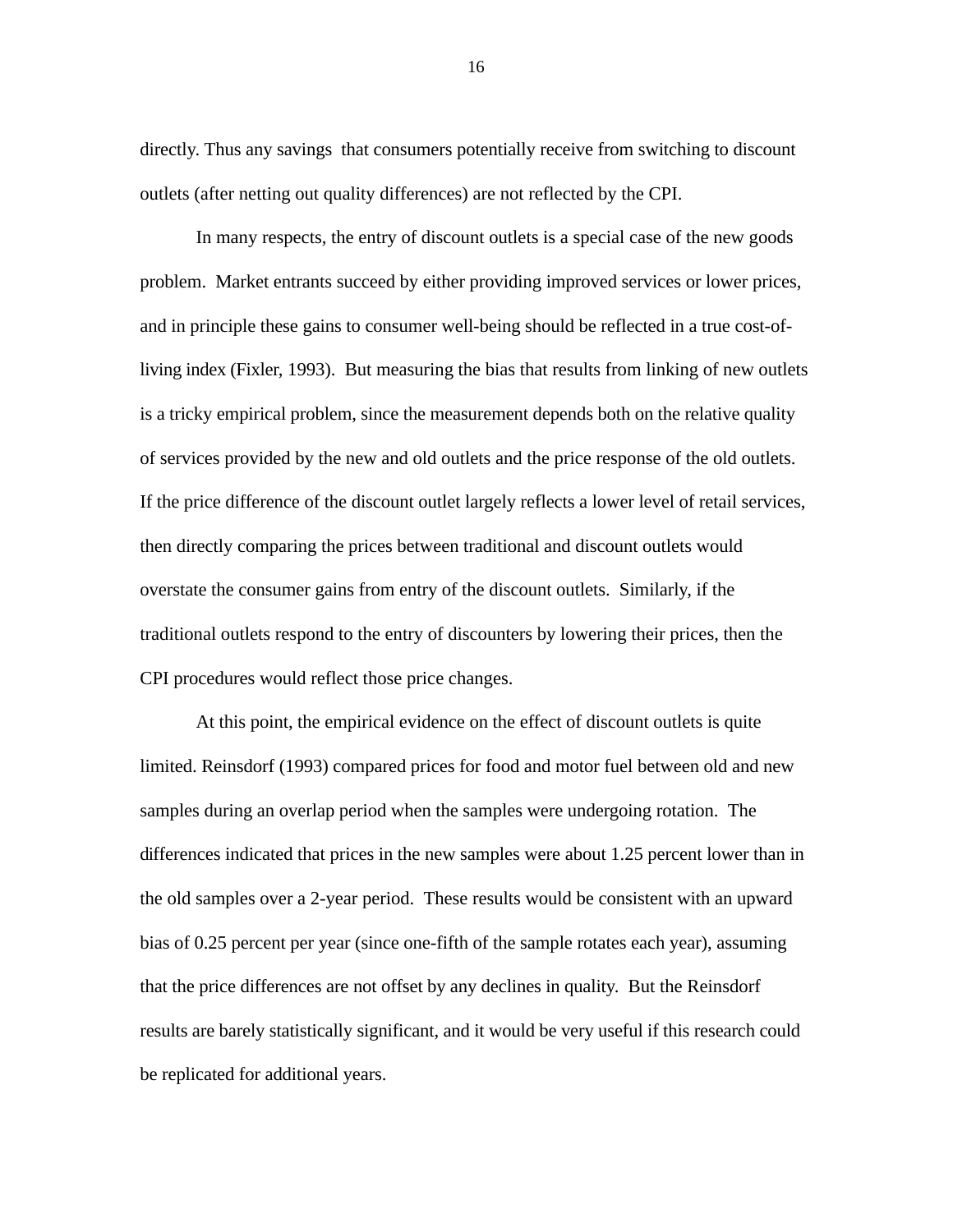directly. Thus any savings that consumers potentially receive from switching to discount outlets (after netting out quality differences) are not reflected by the CPI.

In many respects, the entry of discount outlets is a special case of the new goods problem. Market entrants succeed by either providing improved services or lower prices, and in principle these gains to consumer well-being should be reflected in a true cost-ofliving index (Fixler, 1993). But measuring the bias that results from linking of new outlets is a tricky empirical problem, since the measurement depends both on the relative quality of services provided by the new and old outlets and the price response of the old outlets. If the price difference of the discount outlet largely reflects a lower level of retail services, then directly comparing the prices between traditional and discount outlets would overstate the consumer gains from entry of the discount outlets. Similarly, if the traditional outlets respond to the entry of discounters by lowering their prices, then the CPI procedures would reflect those price changes.

At this point, the empirical evidence on the effect of discount outlets is quite limited. Reinsdorf (1993) compared prices for food and motor fuel between old and new samples during an overlap period when the samples were undergoing rotation. The differences indicated that prices in the new samples were about 1.25 percent lower than in the old samples over a 2-year period. These results would be consistent with an upward bias of 0.25 percent per year (since one-fifth of the sample rotates each year), assuming that the price differences are not offset by any declines in quality. But the Reinsdorf results are barely statistically significant, and it would be very useful if this research could be replicated for additional years.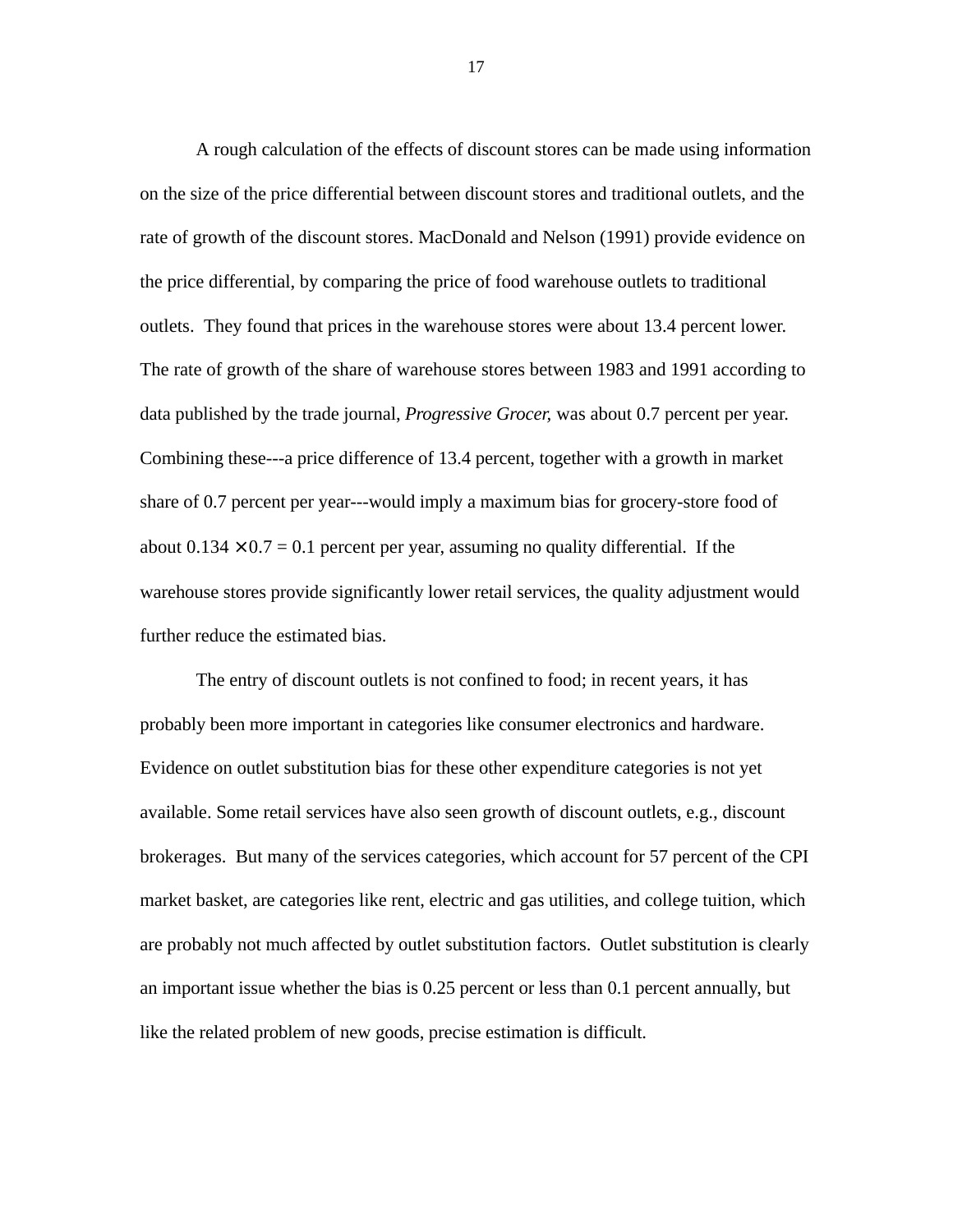A rough calculation of the effects of discount stores can be made using information on the size of the price differential between discount stores and traditional outlets, and the rate of growth of the discount stores. MacDonald and Nelson (1991) provide evidence on the price differential, by comparing the price of food warehouse outlets to traditional outlets. They found that prices in the warehouse stores were about 13.4 percent lower. The rate of growth of the share of warehouse stores between 1983 and 1991 according to data published by the trade journal, *Progressive Grocer,* was about 0.7 percent per year. Combining these---a price difference of 13.4 percent, together with a growth in market share of 0.7 percent per year---would imply a maximum bias for grocery-store food of about  $0.134 \times 0.7 = 0.1$  percent per year, assuming no quality differential. If the warehouse stores provide significantly lower retail services, the quality adjustment would further reduce the estimated bias.

The entry of discount outlets is not confined to food; in recent years, it has probably been more important in categories like consumer electronics and hardware. Evidence on outlet substitution bias for these other expenditure categories is not yet available. Some retail services have also seen growth of discount outlets, e.g., discount brokerages. But many of the services categories, which account for 57 percent of the CPI market basket, are categories like rent, electric and gas utilities, and college tuition, which are probably not much affected by outlet substitution factors. Outlet substitution is clearly an important issue whether the bias is 0.25 percent or less than 0.1 percent annually, but like the related problem of new goods, precise estimation is difficult.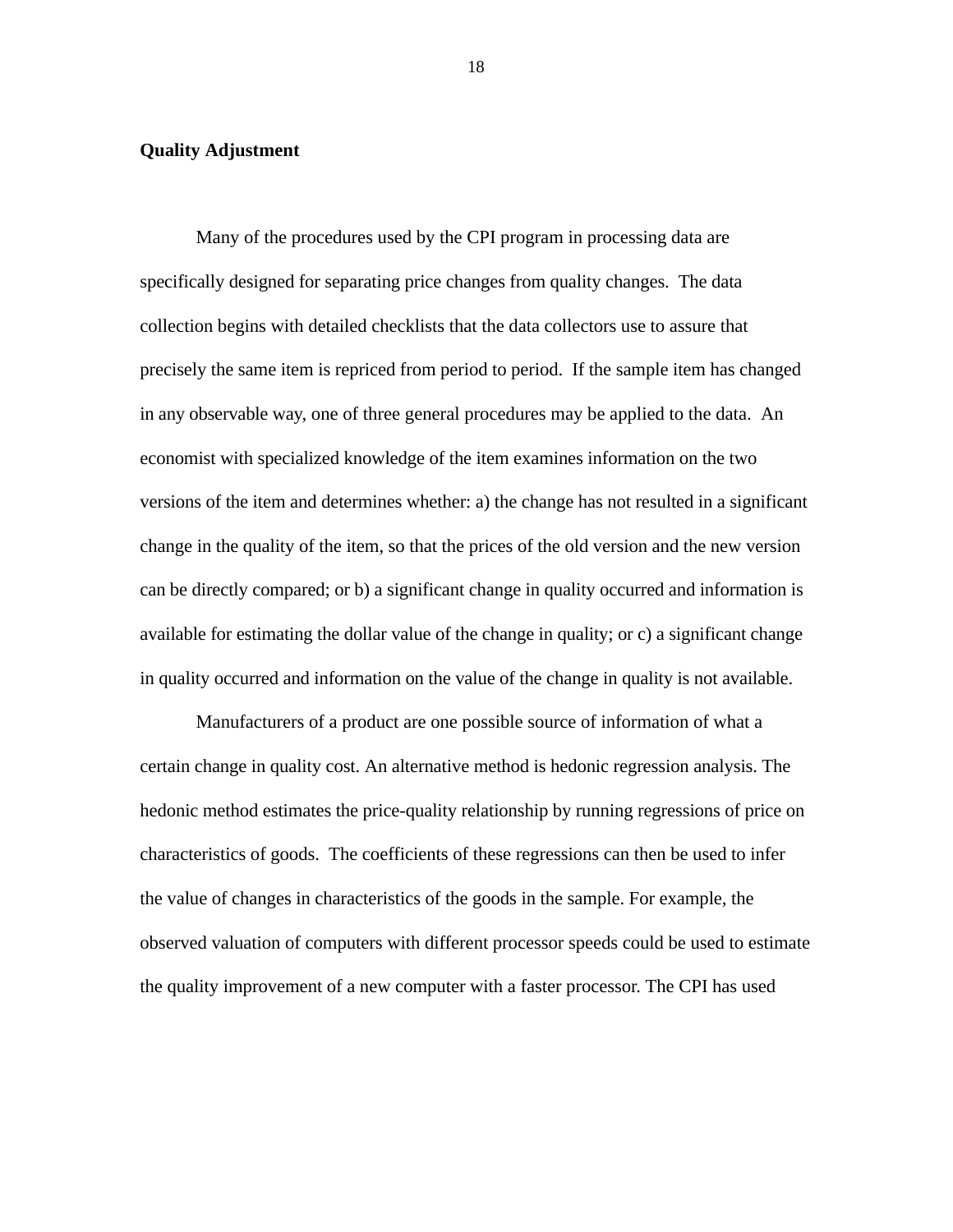## **Quality Adjustment**

Many of the procedures used by the CPI program in processing data are specifically designed for separating price changes from quality changes. The data collection begins with detailed checklists that the data collectors use to assure that precisely the same item is repriced from period to period. If the sample item has changed in any observable way, one of three general procedures may be applied to the data. An economist with specialized knowledge of the item examines information on the two versions of the item and determines whether: a) the change has not resulted in a significant change in the quality of the item, so that the prices of the old version and the new version can be directly compared; or b) a significant change in quality occurred and information is available for estimating the dollar value of the change in quality; or c) a significant change in quality occurred and information on the value of the change in quality is not available.

Manufacturers of a product are one possible source of information of what a certain change in quality cost. An alternative method is hedonic regression analysis. The hedonic method estimates the price-quality relationship by running regressions of price on characteristics of goods. The coefficients of these regressions can then be used to infer the value of changes in characteristics of the goods in the sample. For example, the observed valuation of computers with different processor speeds could be used to estimate the quality improvement of a new computer with a faster processor. The CPI has used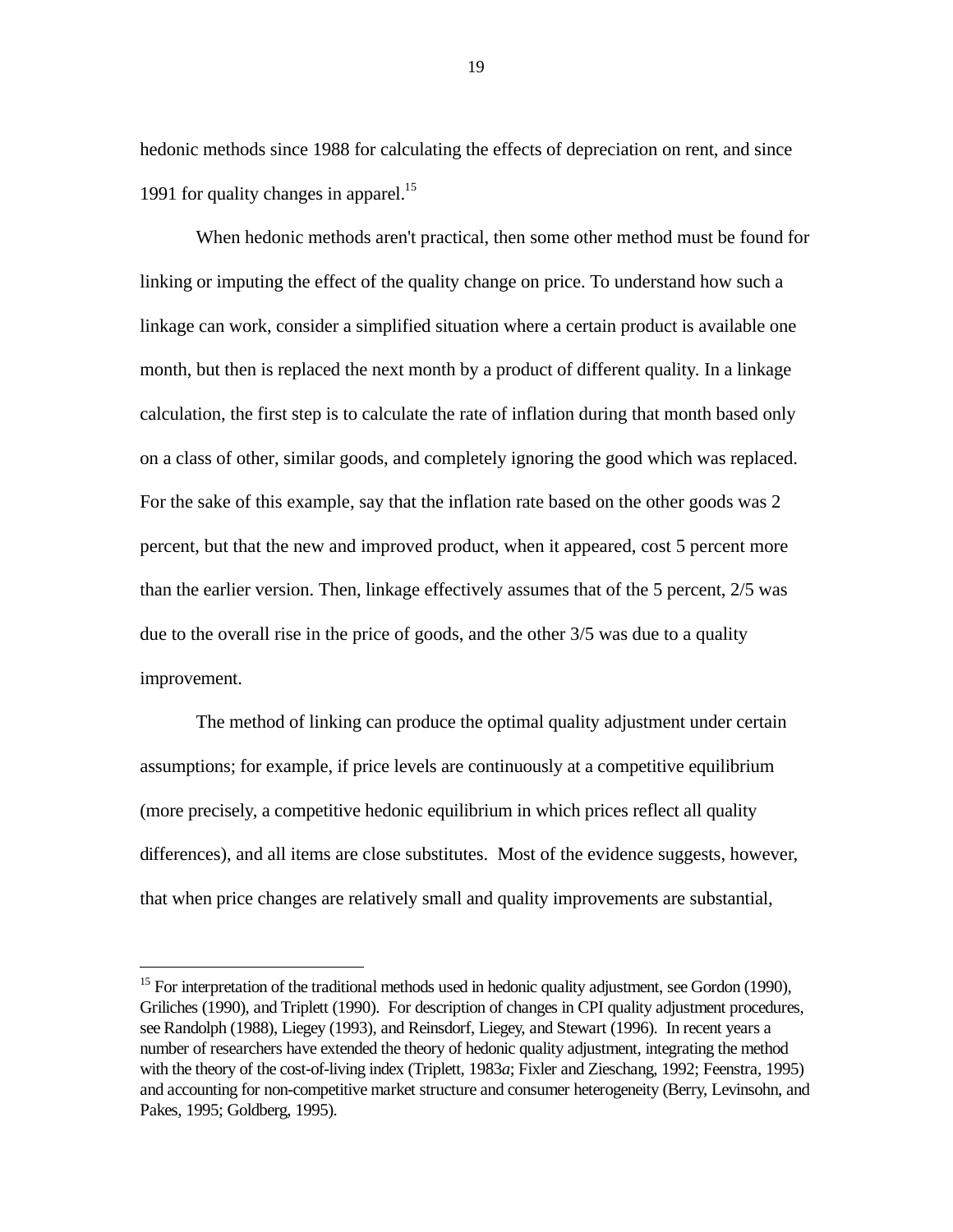hedonic methods since 1988 for calculating the effects of depreciation on rent, and since 1991 for quality changes in apparel.<sup>15</sup>

When hedonic methods aren't practical, then some other method must be found for linking or imputing the effect of the quality change on price. To understand how such a linkage can work, consider a simplified situation where a certain product is available one month, but then is replaced the next month by a product of different quality. In a linkage calculation, the first step is to calculate the rate of inflation during that month based only on a class of other, similar goods, and completely ignoring the good which was replaced. For the sake of this example, say that the inflation rate based on the other goods was 2 percent, but that the new and improved product, when it appeared, cost 5 percent more than the earlier version. Then, linkage effectively assumes that of the 5 percent, 2/5 was due to the overall rise in the price of goods, and the other 3/5 was due to a quality improvement.

The method of linking can produce the optimal quality adjustment under certain assumptions; for example, if price levels are continuously at a competitive equilibrium (more precisely, a competitive hedonic equilibrium in which prices reflect all quality differences), and all items are close substitutes. Most of the evidence suggests, however, that when price changes are relatively small and quality improvements are substantial,

-

<sup>&</sup>lt;sup>15</sup> For interpretation of the traditional methods used in hedonic quality adjustment, see Gordon (1990), Griliches (1990), and Triplett (1990). For description of changes in CPI quality adjustment procedures, see Randolph (1988), Liegey (1993), and Reinsdorf, Liegey, and Stewart (1996). In recent years a number of researchers have extended the theory of hedonic quality adjustment, integrating the method with the theory of the cost-of-living index (Triplett, 1983*a*; Fixler and Zieschang, 1992; Feenstra, 1995) and accounting for non-competitive market structure and consumer heterogeneity (Berry, Levinsohn, and Pakes, 1995; Goldberg, 1995).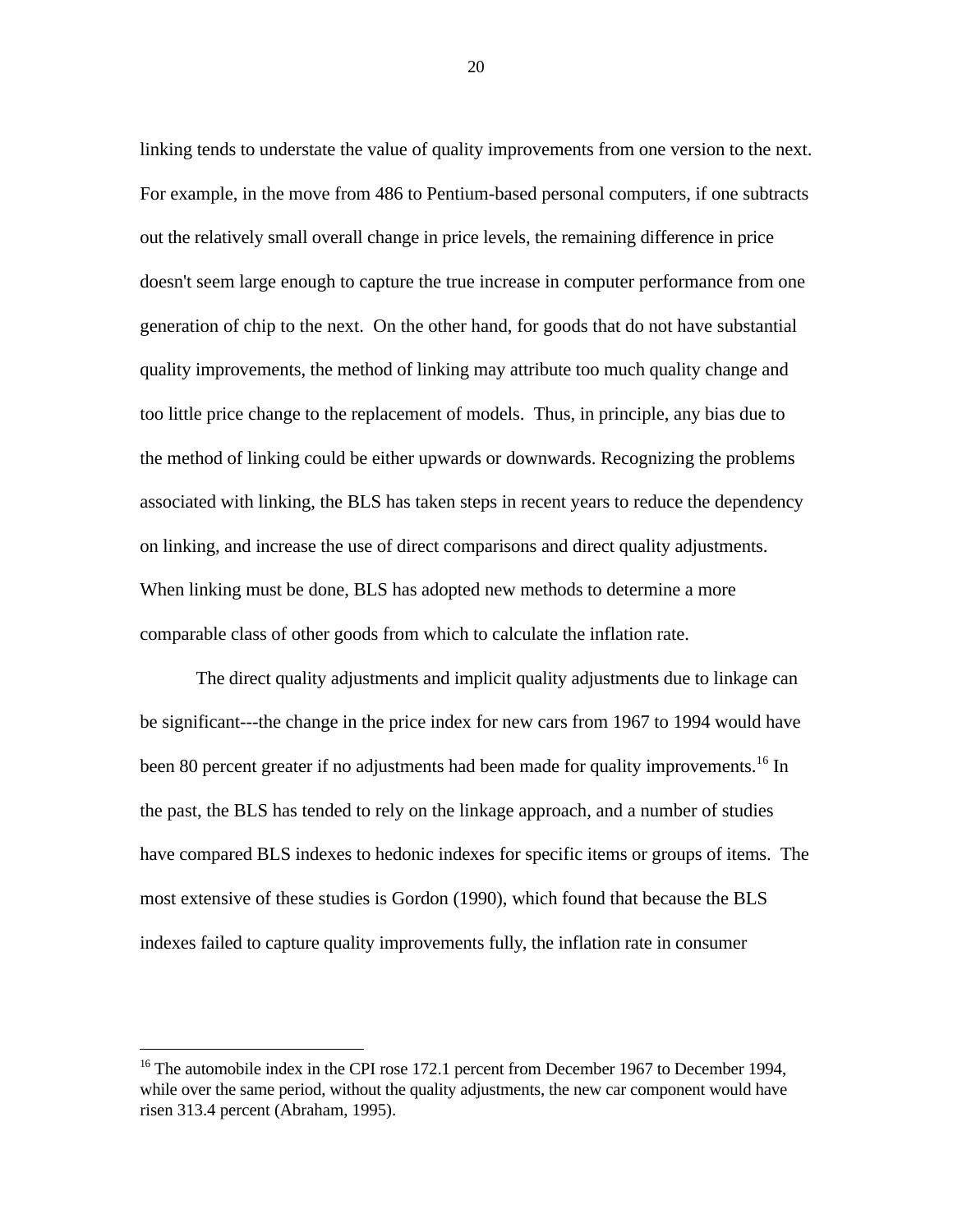linking tends to understate the value of quality improvements from one version to the next. For example, in the move from 486 to Pentium-based personal computers, if one subtracts out the relatively small overall change in price levels, the remaining difference in price doesn't seem large enough to capture the true increase in computer performance from one generation of chip to the next. On the other hand, for goods that do not have substantial quality improvements, the method of linking may attribute too much quality change and too little price change to the replacement of models. Thus, in principle, any bias due to the method of linking could be either upwards or downwards. Recognizing the problems associated with linking, the BLS has taken steps in recent years to reduce the dependency on linking, and increase the use of direct comparisons and direct quality adjustments. When linking must be done, BLS has adopted new methods to determine a more comparable class of other goods from which to calculate the inflation rate.

The direct quality adjustments and implicit quality adjustments due to linkage can be significant---the change in the price index for new cars from 1967 to 1994 would have been 80 percent greater if no adjustments had been made for quality improvements.<sup>16</sup> In the past, the BLS has tended to rely on the linkage approach, and a number of studies have compared BLS indexes to hedonic indexes for specific items or groups of items. The most extensive of these studies is Gordon (1990), which found that because the BLS indexes failed to capture quality improvements fully, the inflation rate in consumer

 $\overline{a}$ 

<sup>&</sup>lt;sup>16</sup> The automobile index in the CPI rose 172.1 percent from December 1967 to December 1994, while over the same period, without the quality adjustments, the new car component would have risen 313.4 percent (Abraham, 1995).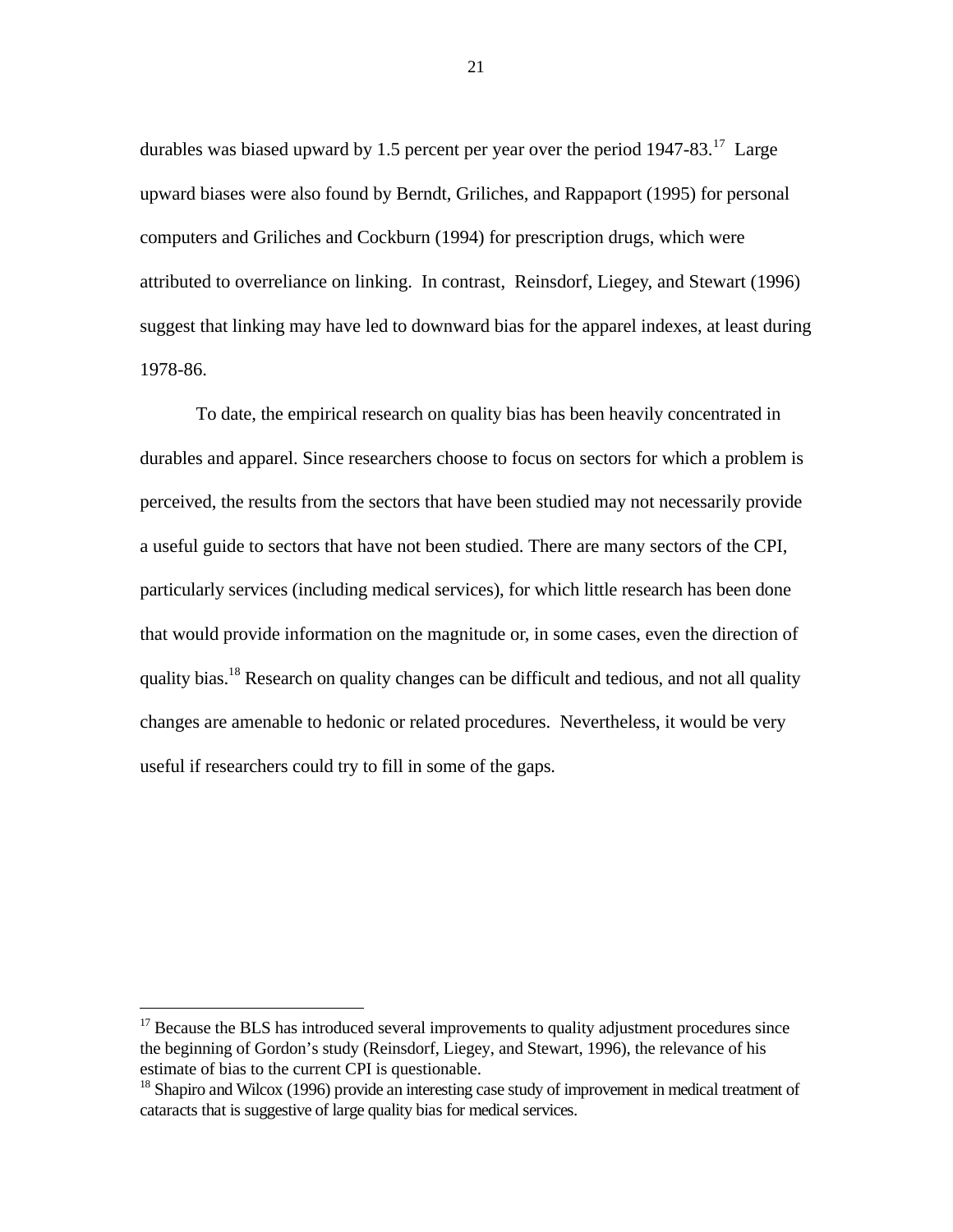durables was biased upward by 1.5 percent per year over the period  $1947-83$ <sup>17</sup> Large upward biases were also found by Berndt, Griliches, and Rappaport (1995) for personal computers and Griliches and Cockburn (1994) for prescription drugs, which were attributed to overreliance on linking. In contrast, Reinsdorf, Liegey, and Stewart (1996) suggest that linking may have led to downward bias for the apparel indexes, at least during 1978-86.

To date, the empirical research on quality bias has been heavily concentrated in durables and apparel. Since researchers choose to focus on sectors for which a problem is perceived, the results from the sectors that have been studied may not necessarily provide a useful guide to sectors that have not been studied. There are many sectors of the CPI, particularly services (including medical services), for which little research has been done that would provide information on the magnitude or, in some cases, even the direction of quality bias.<sup>18</sup> Research on quality changes can be difficult and tedious, and not all quality changes are amenable to hedonic or related procedures. Nevertheless, it would be very useful if researchers could try to fill in some of the gaps.

 $\overline{a}$ 

 $17$  Because the BLS has introduced several improvements to quality adjustment procedures since the beginning of Gordon's study (Reinsdorf, Liegey, and Stewart, 1996), the relevance of his estimate of bias to the current CPI is questionable.

<sup>&</sup>lt;sup>18</sup> Shapiro and Wilcox (1996) provide an interesting case study of improvement in medical treatment of cataracts that is suggestive of large quality bias for medical services.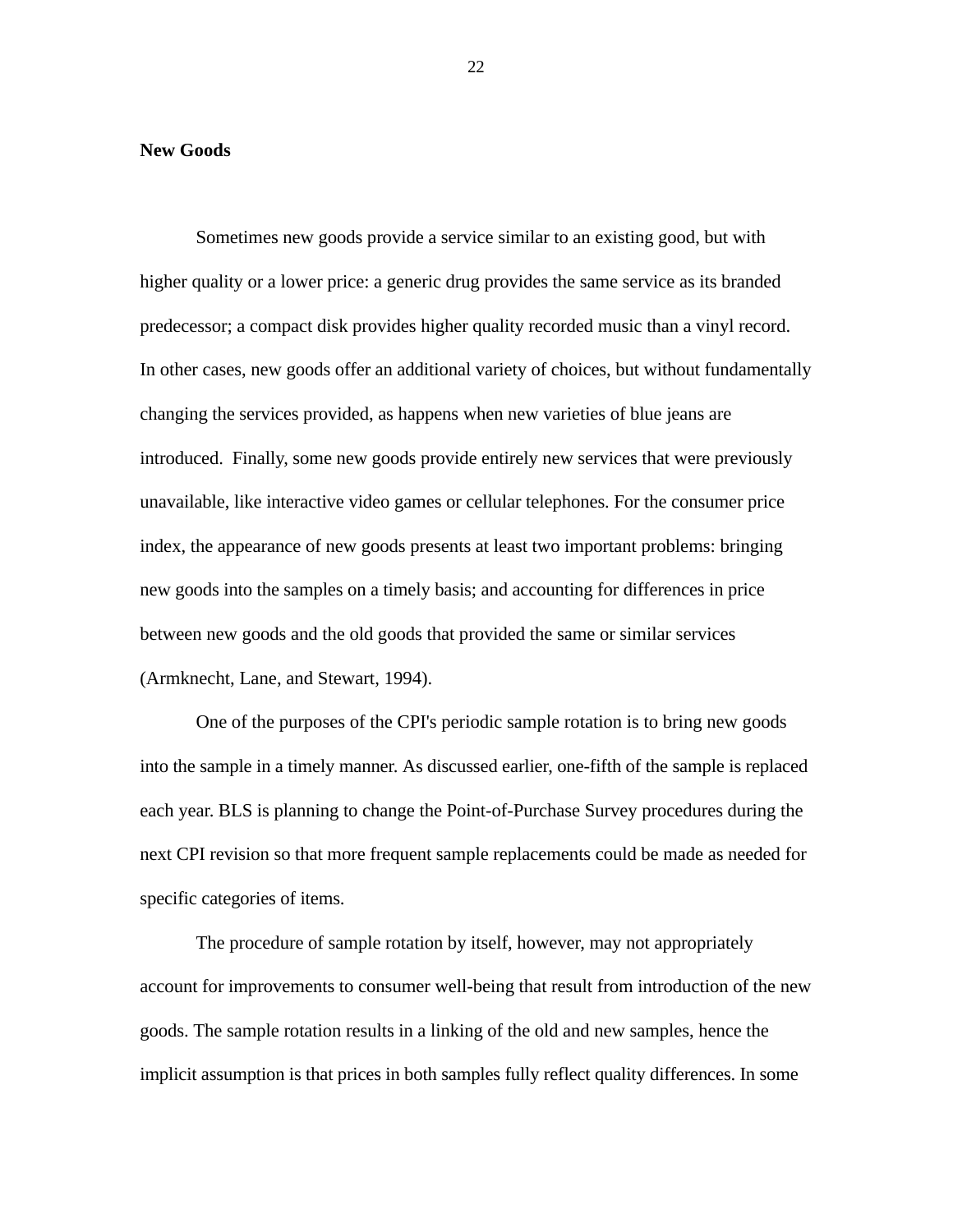#### **New Goods**

Sometimes new goods provide a service similar to an existing good, but with higher quality or a lower price: a generic drug provides the same service as its branded predecessor; a compact disk provides higher quality recorded music than a vinyl record. In other cases, new goods offer an additional variety of choices, but without fundamentally changing the services provided, as happens when new varieties of blue jeans are introduced. Finally, some new goods provide entirely new services that were previously unavailable, like interactive video games or cellular telephones. For the consumer price index, the appearance of new goods presents at least two important problems: bringing new goods into the samples on a timely basis; and accounting for differences in price between new goods and the old goods that provided the same or similar services (Armknecht, Lane, and Stewart, 1994).

One of the purposes of the CPI's periodic sample rotation is to bring new goods into the sample in a timely manner. As discussed earlier, one-fifth of the sample is replaced each year. BLS is planning to change the Point-of-Purchase Survey procedures during the next CPI revision so that more frequent sample replacements could be made as needed for specific categories of items.

The procedure of sample rotation by itself, however, may not appropriately account for improvements to consumer well-being that result from introduction of the new goods. The sample rotation results in a linking of the old and new samples, hence the implicit assumption is that prices in both samples fully reflect quality differences. In some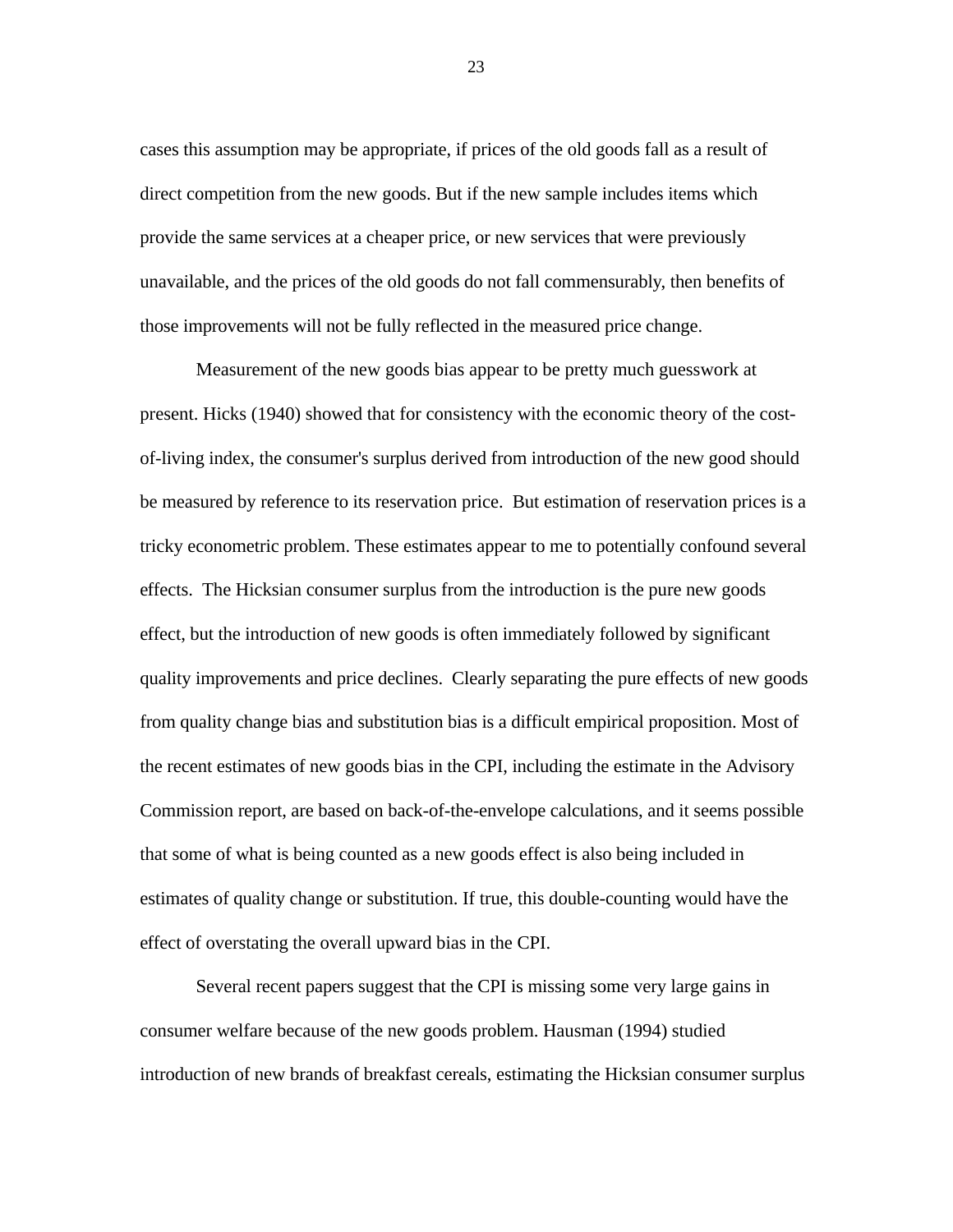cases this assumption may be appropriate, if prices of the old goods fall as a result of direct competition from the new goods. But if the new sample includes items which provide the same services at a cheaper price, or new services that were previously unavailable, and the prices of the old goods do not fall commensurably, then benefits of those improvements will not be fully reflected in the measured price change.

Measurement of the new goods bias appear to be pretty much guesswork at present. Hicks (1940) showed that for consistency with the economic theory of the costof-living index, the consumer's surplus derived from introduction of the new good should be measured by reference to its reservation price. But estimation of reservation prices is a tricky econometric problem. These estimates appear to me to potentially confound several effects. The Hicksian consumer surplus from the introduction is the pure new goods effect, but the introduction of new goods is often immediately followed by significant quality improvements and price declines. Clearly separating the pure effects of new goods from quality change bias and substitution bias is a difficult empirical proposition. Most of the recent estimates of new goods bias in the CPI, including the estimate in the Advisory Commission report, are based on back-of-the-envelope calculations, and it seems possible that some of what is being counted as a new goods effect is also being included in estimates of quality change or substitution. If true, this double-counting would have the effect of overstating the overall upward bias in the CPI.

Several recent papers suggest that the CPI is missing some very large gains in consumer welfare because of the new goods problem. Hausman (1994) studied introduction of new brands of breakfast cereals, estimating the Hicksian consumer surplus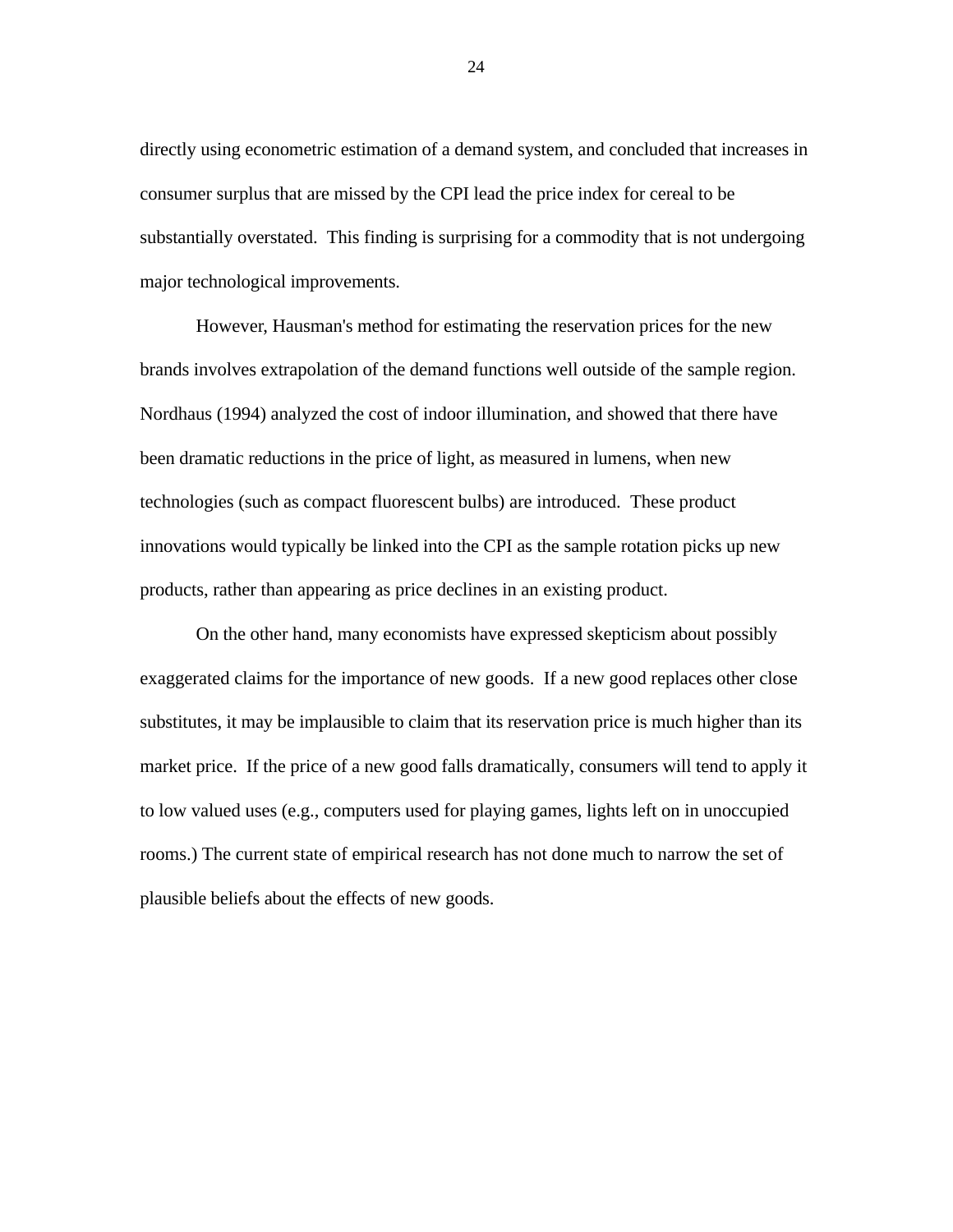directly using econometric estimation of a demand system, and concluded that increases in consumer surplus that are missed by the CPI lead the price index for cereal to be substantially overstated. This finding is surprising for a commodity that is not undergoing major technological improvements.

However, Hausman's method for estimating the reservation prices for the new brands involves extrapolation of the demand functions well outside of the sample region. Nordhaus (1994) analyzed the cost of indoor illumination, and showed that there have been dramatic reductions in the price of light, as measured in lumens, when new technologies (such as compact fluorescent bulbs) are introduced. These product innovations would typically be linked into the CPI as the sample rotation picks up new products, rather than appearing as price declines in an existing product.

On the other hand, many economists have expressed skepticism about possibly exaggerated claims for the importance of new goods. If a new good replaces other close substitutes, it may be implausible to claim that its reservation price is much higher than its market price. If the price of a new good falls dramatically, consumers will tend to apply it to low valued uses (e.g., computers used for playing games, lights left on in unoccupied rooms.) The current state of empirical research has not done much to narrow the set of plausible beliefs about the effects of new goods.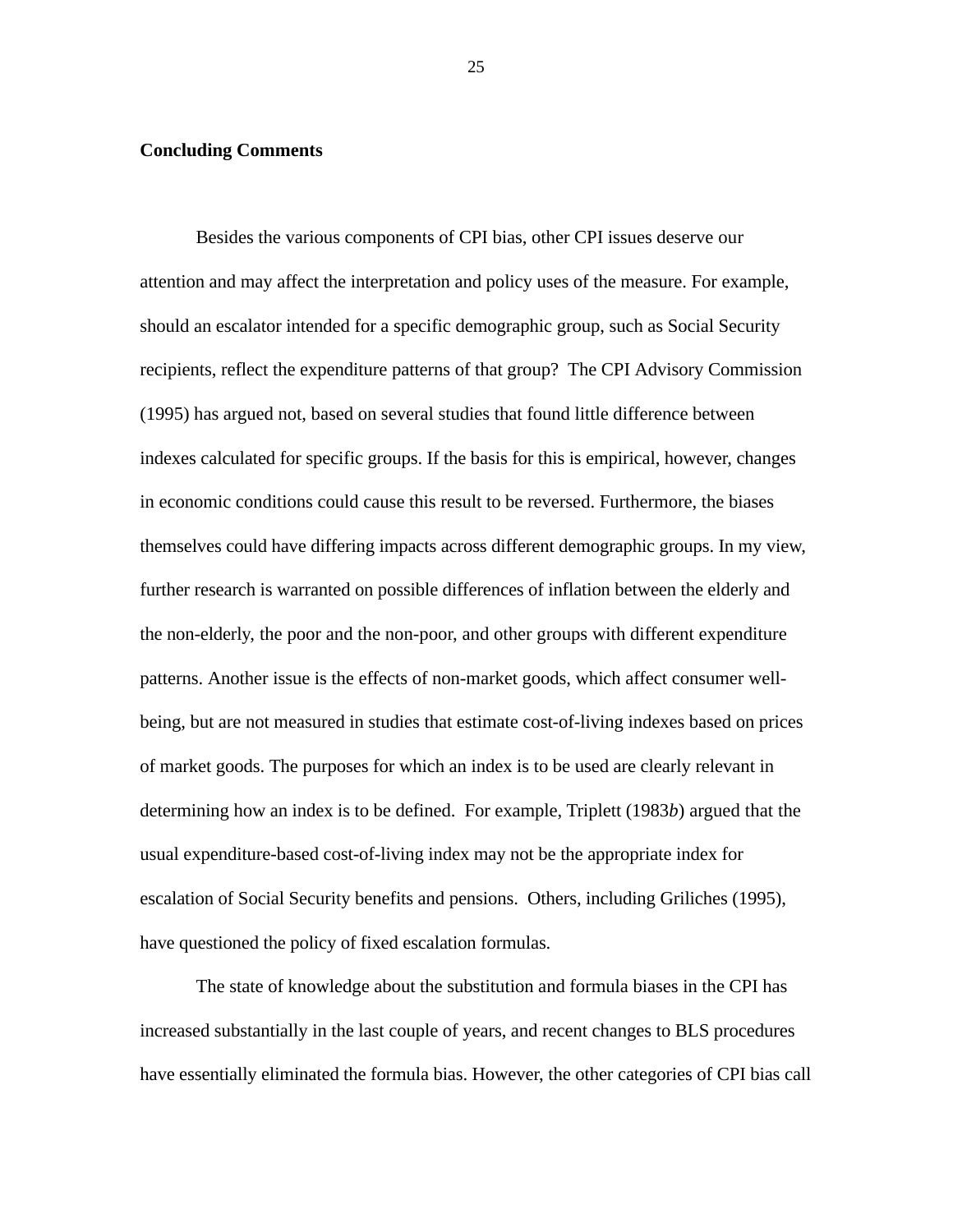## **Concluding Comments**

Besides the various components of CPI bias, other CPI issues deserve our attention and may affect the interpretation and policy uses of the measure. For example, should an escalator intended for a specific demographic group, such as Social Security recipients, reflect the expenditure patterns of that group? The CPI Advisory Commission (1995) has argued not, based on several studies that found little difference between indexes calculated for specific groups. If the basis for this is empirical, however, changes in economic conditions could cause this result to be reversed. Furthermore, the biases themselves could have differing impacts across different demographic groups. In my view, further research is warranted on possible differences of inflation between the elderly and the non-elderly, the poor and the non-poor, and other groups with different expenditure patterns. Another issue is the effects of non-market goods, which affect consumer wellbeing, but are not measured in studies that estimate cost-of-living indexes based on prices of market goods. The purposes for which an index is to be used are clearly relevant in determining how an index is to be defined. For example, Triplett (1983*b*) argued that the usual expenditure-based cost-of-living index may not be the appropriate index for escalation of Social Security benefits and pensions. Others, including Griliches (1995), have questioned the policy of fixed escalation formulas.

The state of knowledge about the substitution and formula biases in the CPI has increased substantially in the last couple of years, and recent changes to BLS procedures have essentially eliminated the formula bias. However, the other categories of CPI bias call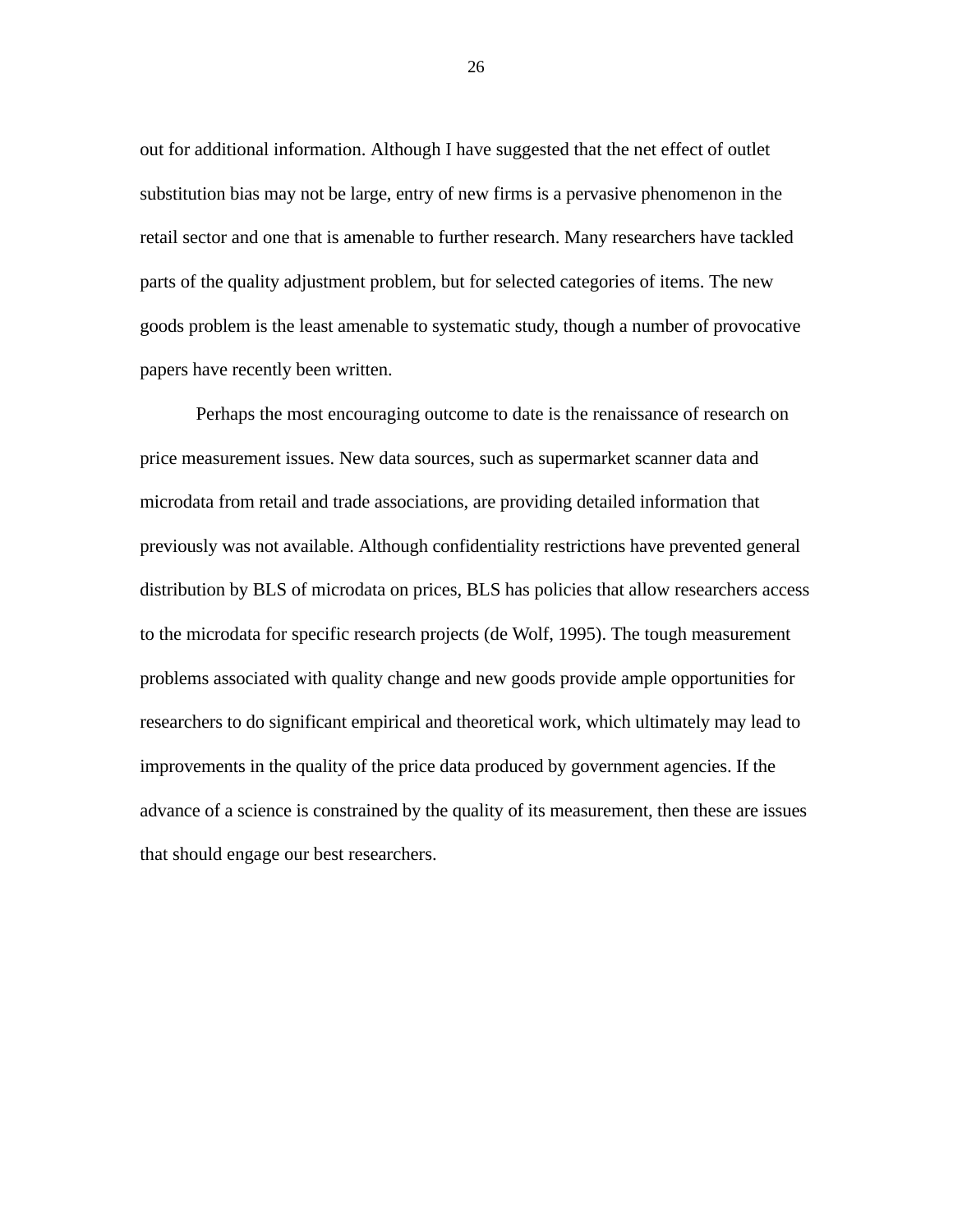out for additional information. Although I have suggested that the net effect of outlet substitution bias may not be large, entry of new firms is a pervasive phenomenon in the retail sector and one that is amenable to further research. Many researchers have tackled parts of the quality adjustment problem, but for selected categories of items. The new goods problem is the least amenable to systematic study, though a number of provocative papers have recently been written.

Perhaps the most encouraging outcome to date is the renaissance of research on price measurement issues. New data sources, such as supermarket scanner data and microdata from retail and trade associations, are providing detailed information that previously was not available. Although confidentiality restrictions have prevented general distribution by BLS of microdata on prices, BLS has policies that allow researchers access to the microdata for specific research projects (de Wolf, 1995). The tough measurement problems associated with quality change and new goods provide ample opportunities for researchers to do significant empirical and theoretical work, which ultimately may lead to improvements in the quality of the price data produced by government agencies. If the advance of a science is constrained by the quality of its measurement, then these are issues that should engage our best researchers.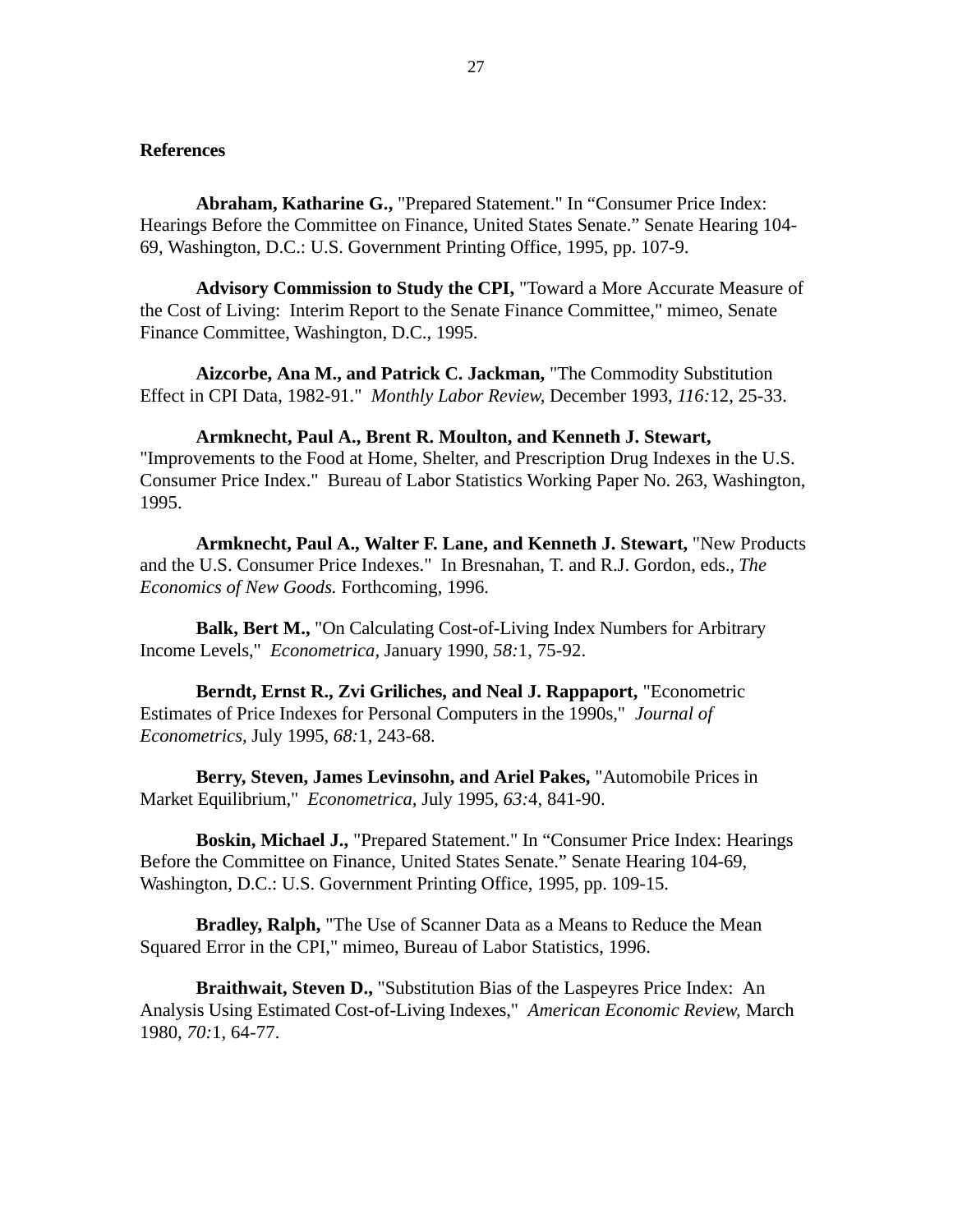# **References**

**Abraham, Katharine G.,** "Prepared Statement." In "Consumer Price Index: Hearings Before the Committee on Finance, United States Senate." Senate Hearing 104- 69, Washington, D.C.: U.S. Government Printing Office, 1995, pp. 107-9.

**Advisory Commission to Study the CPI,** "Toward a More Accurate Measure of the Cost of Living: Interim Report to the Senate Finance Committee," mimeo, Senate Finance Committee, Washington, D.C., 1995.

**Aizcorbe, Ana M., and Patrick C. Jackman,** "The Commodity Substitution Effect in CPI Data, 1982-91." *Monthly Labor Review,* December 1993, *116:*12, 25-33.

**Armknecht, Paul A., Brent R. Moulton, and Kenneth J. Stewart,** "Improvements to the Food at Home, Shelter, and Prescription Drug Indexes in the U.S. Consumer Price Index." Bureau of Labor Statistics Working Paper No. 263, Washington, 1995.

**Armknecht, Paul A., Walter F. Lane, and Kenneth J. Stewart,** "New Products and the U.S. Consumer Price Indexes." In Bresnahan, T. and R.J. Gordon, eds., *The Economics of New Goods.* Forthcoming, 1996.

**Balk, Bert M.,** "On Calculating Cost-of-Living Index Numbers for Arbitrary Income Levels," *Econometrica,* January 1990, *58:*1, 75-92.

**Berndt, Ernst R., Zvi Griliches, and Neal J. Rappaport,** "Econometric Estimates of Price Indexes for Personal Computers in the 1990s," *Journal of Econometrics,* July 1995, *68:*1, 243-68.

**Berry, Steven, James Levinsohn, and Ariel Pakes,** "Automobile Prices in Market Equilibrium," *Econometrica,* July 1995, *63:*4, 841-90.

**Boskin, Michael J.,** "Prepared Statement." In "Consumer Price Index: Hearings Before the Committee on Finance, United States Senate." Senate Hearing 104-69, Washington, D.C.: U.S. Government Printing Office, 1995, pp. 109-15.

**Bradley, Ralph,** "The Use of Scanner Data as a Means to Reduce the Mean Squared Error in the CPI," mimeo, Bureau of Labor Statistics, 1996.

**Braithwait, Steven D.,** "Substitution Bias of the Laspeyres Price Index: An Analysis Using Estimated Cost-of-Living Indexes," *American Economic Review,* March 1980, *70:*1, 64-77.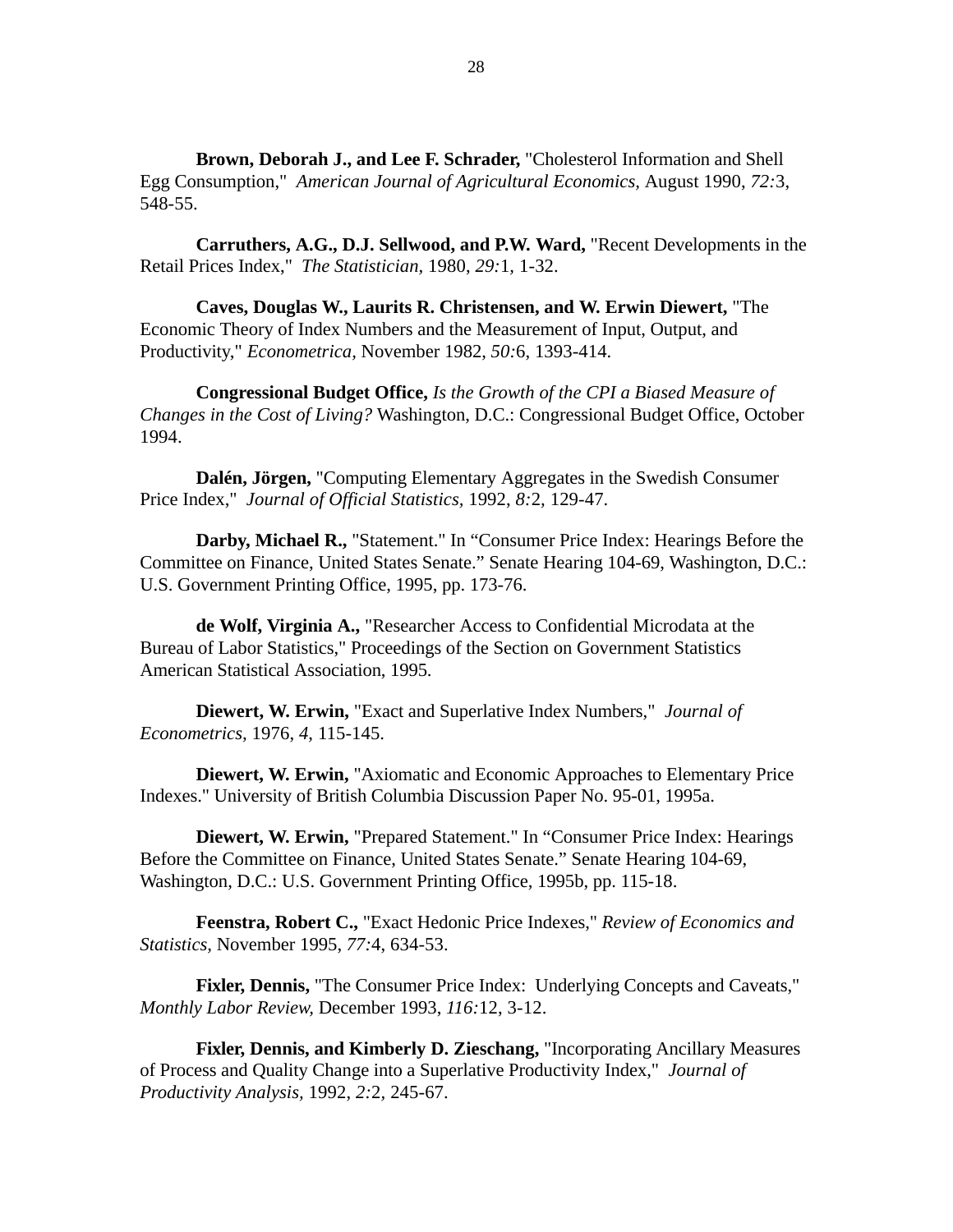**Brown, Deborah J., and Lee F. Schrader,** "Cholesterol Information and Shell Egg Consumption," *American Journal of Agricultural Economics,* August 1990, *72:*3, 548-55.

**Carruthers, A.G., D.J. Sellwood, and P.W. Ward,** "Recent Developments in the Retail Prices Index," *The Statistician,* 1980, *29:*1*,* 1-32.

**Caves, Douglas W., Laurits R. Christensen, and W. Erwin Diewert,** "The Economic Theory of Index Numbers and the Measurement of Input, Output, and Productivity," *Econometrica,* November 1982, *50:*6, 1393-414.

**Congressional Budget Office,** *Is the Growth of the CPI a Biased Measure of Changes in the Cost of Living?* Washington, D.C.: Congressional Budget Office, October 1994.

**Dalén, Jörgen,** "Computing Elementary Aggregates in the Swedish Consumer Price Index," *Journal of Official Statistics,* 1992, *8:*2*,* 129-47.

**Darby, Michael R.,** "Statement." In "Consumer Price Index: Hearings Before the Committee on Finance, United States Senate." Senate Hearing 104-69, Washington, D.C.: U.S. Government Printing Office, 1995, pp. 173-76.

**de Wolf, Virginia A.,** "Researcher Access to Confidential Microdata at the Bureau of Labor Statistics," Proceedings of the Section on Government Statistics American Statistical Association, 1995.

**Diewert, W. Erwin,** "Exact and Superlative Index Numbers," *Journal of Econometrics,* 1976, *4*, 115-145.

**Diewert, W. Erwin,** "Axiomatic and Economic Approaches to Elementary Price Indexes." University of British Columbia Discussion Paper No. 95-01, 1995a.

**Diewert, W. Erwin,** "Prepared Statement." In "Consumer Price Index: Hearings Before the Committee on Finance, United States Senate." Senate Hearing 104-69, Washington, D.C.: U.S. Government Printing Office, 1995b, pp. 115-18.

**Feenstra, Robert C.,** "Exact Hedonic Price Indexes," *Review of Economics and Statistics,* November 1995, *77:*4, 634-53.

**Fixler, Dennis,** "The Consumer Price Index: Underlying Concepts and Caveats," *Monthly Labor Review,* December 1993, *116:*12, 3-12.

**Fixler, Dennis, and Kimberly D. Zieschang,** "Incorporating Ancillary Measures of Process and Quality Change into a Superlative Productivity Index," *Journal of Productivity Analysis,* 1992, *2:*2*,* 245-67.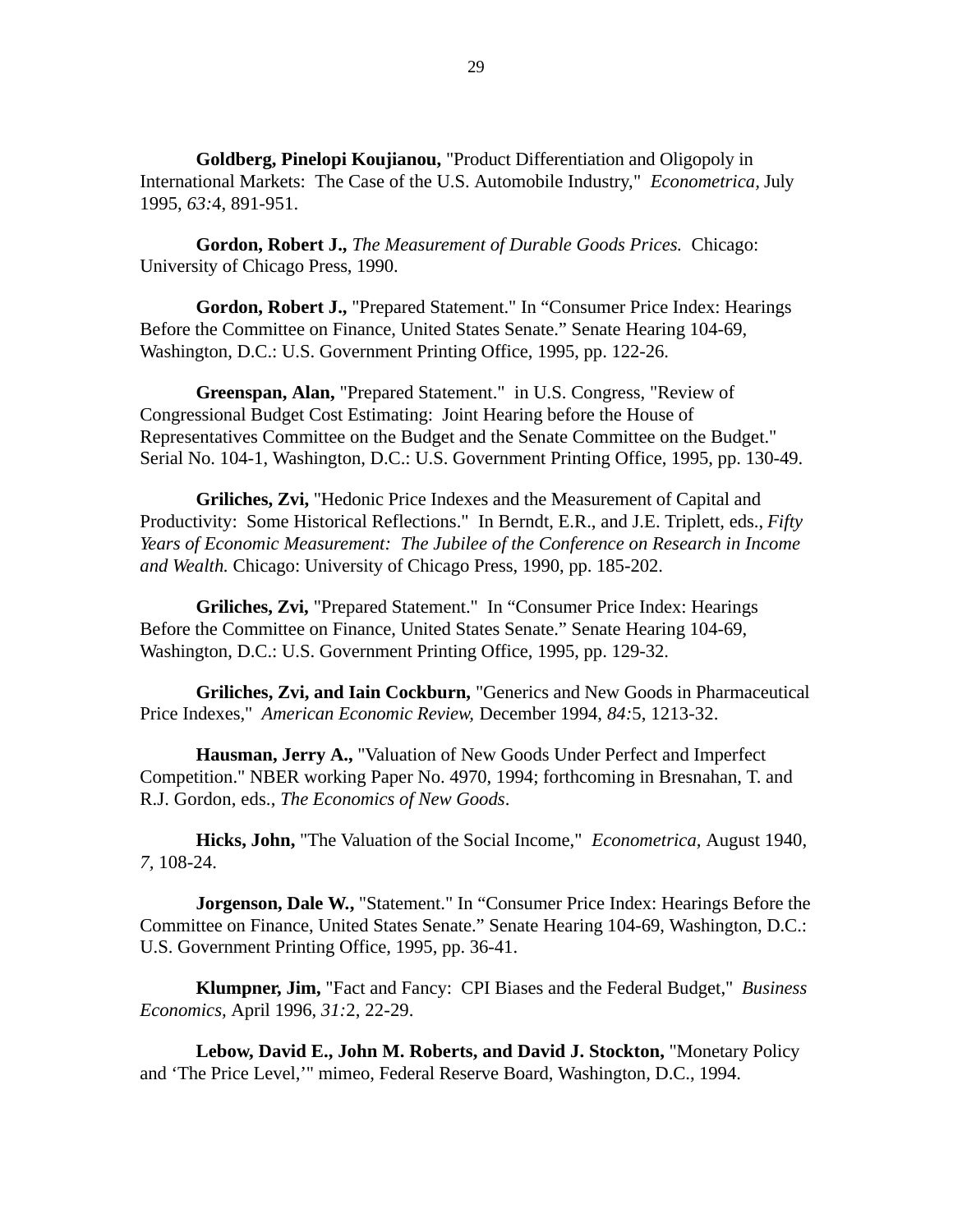**Goldberg, Pinelopi Koujianou,** "Product Differentiation and Oligopoly in International Markets: The Case of the U.S. Automobile Industry," *Econometrica,* July 1995, *63:*4, 891-951.

**Gordon, Robert J.,** *The Measurement of Durable Goods Prices.* Chicago: University of Chicago Press, 1990.

**Gordon, Robert J.,** "Prepared Statement." In "Consumer Price Index: Hearings Before the Committee on Finance, United States Senate." Senate Hearing 104-69, Washington, D.C.: U.S. Government Printing Office, 1995, pp. 122-26.

**Greenspan, Alan,** "Prepared Statement." in U.S. Congress, "Review of Congressional Budget Cost Estimating: Joint Hearing before the House of Representatives Committee on the Budget and the Senate Committee on the Budget." Serial No. 104-1, Washington, D.C.: U.S. Government Printing Office, 1995, pp. 130-49.

**Griliches, Zvi,** "Hedonic Price Indexes and the Measurement of Capital and Productivity: Some Historical Reflections." In Berndt, E.R., and J.E. Triplett, eds., *Fifty Years of Economic Measurement: The Jubilee of the Conference on Research in Income and Wealth.* Chicago: University of Chicago Press, 1990, pp. 185-202.

**Griliches, Zvi,** "Prepared Statement." In "Consumer Price Index: Hearings Before the Committee on Finance, United States Senate." Senate Hearing 104-69, Washington, D.C.: U.S. Government Printing Office, 1995, pp. 129-32.

**Griliches, Zvi, and Iain Cockburn,** "Generics and New Goods in Pharmaceutical Price Indexes," *American Economic Review,* December 1994, *84:*5, 1213-32.

**Hausman, Jerry A.,** "Valuation of New Goods Under Perfect and Imperfect Competition." NBER working Paper No. 4970, 1994; forthcoming in Bresnahan, T. and R.J. Gordon, eds., *The Economics of New Goods*.

**Hicks, John,** "The Valuation of the Social Income," *Econometrica,* August 1940, *7,* 108-24.

**Jorgenson, Dale W.,** "Statement." In "Consumer Price Index: Hearings Before the Committee on Finance, United States Senate." Senate Hearing 104-69, Washington, D.C.: U.S. Government Printing Office, 1995, pp. 36-41.

**Klumpner, Jim,** "Fact and Fancy: CPI Biases and the Federal Budget," *Business Economics,* April 1996, *31:*2, 22-29.

**Lebow, David E., John M. Roberts, and David J. Stockton,** "Monetary Policy and 'The Price Level,'" mimeo, Federal Reserve Board, Washington, D.C., 1994.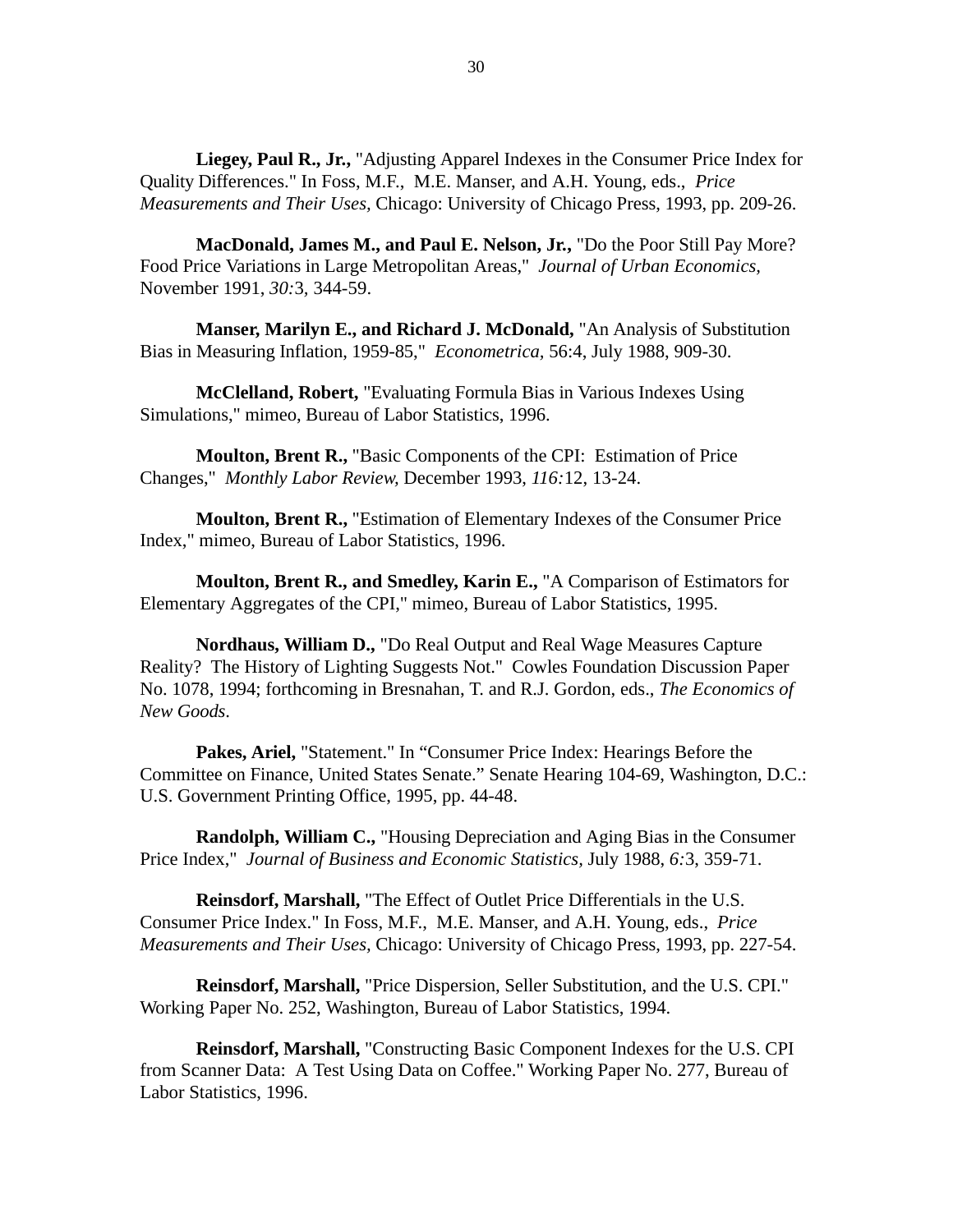Liegey, Paul R., Jr., "Adjusting Apparel Indexes in the Consumer Price Index for Quality Differences." In Foss, M.F., M.E. Manser, and A.H. Young, eds., *Price Measurements and Their Uses,* Chicago: University of Chicago Press, 1993, pp. 209-26.

**MacDonald, James M., and Paul E. Nelson, Jr.,** "Do the Poor Still Pay More? Food Price Variations in Large Metropolitan Areas," *Journal of Urban Economics,* November 1991, *30:*3*,* 344-59.

**Manser, Marilyn E., and Richard J. McDonald,** "An Analysis of Substitution Bias in Measuring Inflation, 1959-85," *Econometrica,* 56:4, July 1988, 909-30.

**McClelland, Robert,** "Evaluating Formula Bias in Various Indexes Using Simulations," mimeo, Bureau of Labor Statistics, 1996.

**Moulton, Brent R.,** "Basic Components of the CPI: Estimation of Price Changes," *Monthly Labor Review,* December 1993, *116:*12, 13-24.

**Moulton, Brent R.,** "Estimation of Elementary Indexes of the Consumer Price Index," mimeo, Bureau of Labor Statistics, 1996.

**Moulton, Brent R., and Smedley, Karin E.,** "A Comparison of Estimators for Elementary Aggregates of the CPI," mimeo, Bureau of Labor Statistics, 1995.

**Nordhaus, William D.,** "Do Real Output and Real Wage Measures Capture Reality? The History of Lighting Suggests Not." Cowles Foundation Discussion Paper No. 1078, 1994; forthcoming in Bresnahan, T. and R.J. Gordon, eds., *The Economics of New Goods*.

**Pakes, Ariel,** "Statement." In "Consumer Price Index: Hearings Before the Committee on Finance, United States Senate." Senate Hearing 104-69, Washington, D.C.: U.S. Government Printing Office, 1995, pp. 44-48.

**Randolph, William C.,** "Housing Depreciation and Aging Bias in the Consumer Price Index," *Journal of Business and Economic Statistics,* July 1988, *6:*3, 359-71.

**Reinsdorf, Marshall,** "The Effect of Outlet Price Differentials in the U.S. Consumer Price Index." In Foss, M.F., M.E. Manser, and A.H. Young, eds., *Price Measurements and Their Uses,* Chicago: University of Chicago Press, 1993, pp. 227-54.

**Reinsdorf, Marshall,** "Price Dispersion, Seller Substitution, and the U.S. CPI." Working Paper No. 252, Washington, Bureau of Labor Statistics, 1994.

**Reinsdorf, Marshall,** "Constructing Basic Component Indexes for the U.S. CPI from Scanner Data: A Test Using Data on Coffee." Working Paper No. 277, Bureau of Labor Statistics, 1996.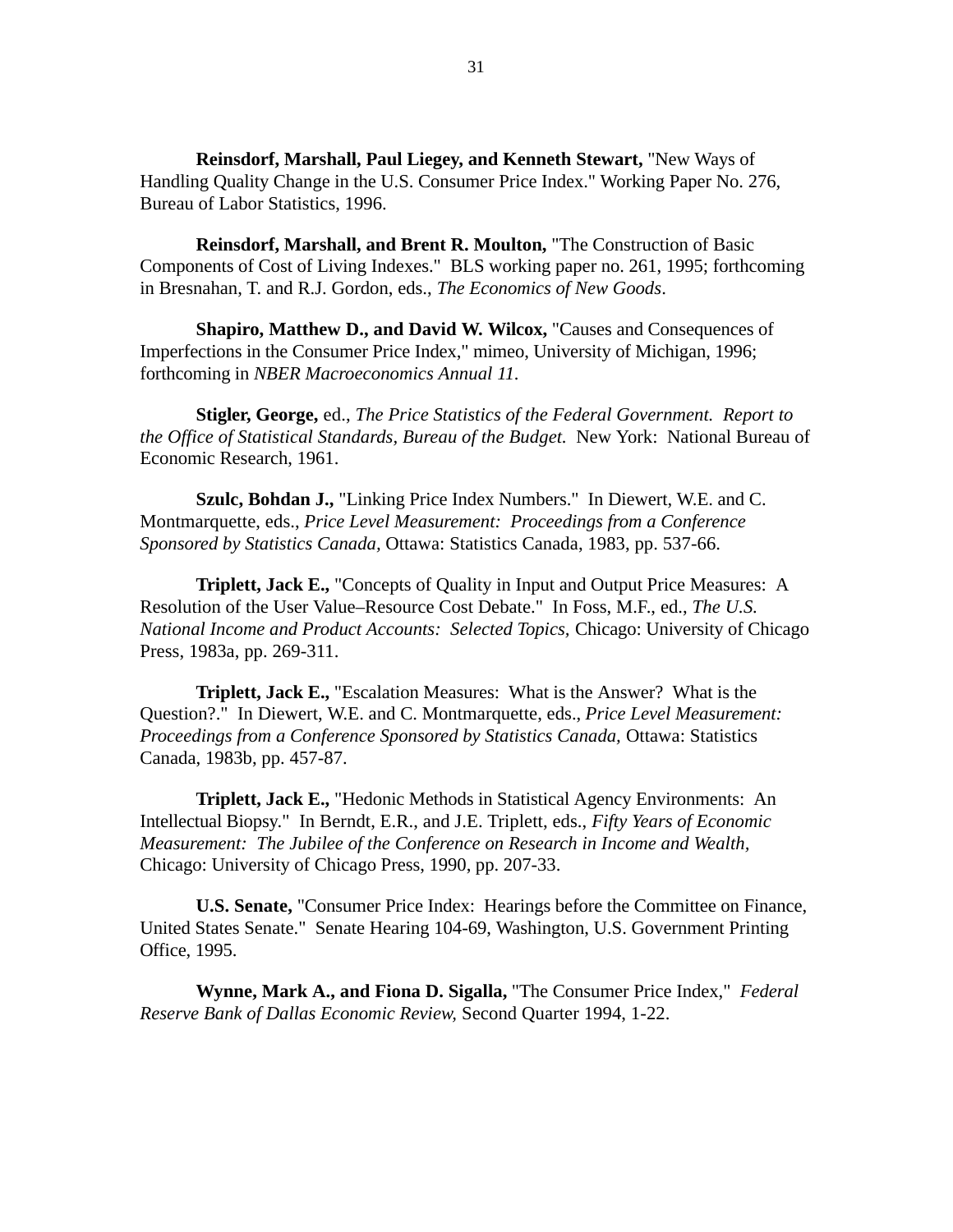**Reinsdorf, Marshall, Paul Liegey, and Kenneth Stewart,** "New Ways of Handling Quality Change in the U.S. Consumer Price Index." Working Paper No. 276, Bureau of Labor Statistics, 1996.

**Reinsdorf, Marshall, and Brent R. Moulton,** "The Construction of Basic Components of Cost of Living Indexes." BLS working paper no. 261, 1995; forthcoming in Bresnahan, T. and R.J. Gordon, eds., *The Economics of New Goods*.

**Shapiro, Matthew D., and David W. Wilcox,** "Causes and Consequences of Imperfections in the Consumer Price Index," mimeo, University of Michigan, 1996; forthcoming in *NBER Macroeconomics Annual 11.*

**Stigler, George,** ed., *The Price Statistics of the Federal Government. Report to the Office of Statistical Standards, Bureau of the Budget.* New York: National Bureau of Economic Research, 1961.

**Szulc, Bohdan J.,** "Linking Price Index Numbers." In Diewert, W.E. and C. Montmarquette, eds., *Price Level Measurement: Proceedings from a Conference Sponsored by Statistics Canada,* Ottawa: Statistics Canada, 1983, pp. 537-66.

**Triplett, Jack E.,** "Concepts of Quality in Input and Output Price Measures: A Resolution of the User Value–Resource Cost Debate." In Foss, M.F., ed., *The U.S. National Income and Product Accounts: Selected Topics,* Chicago: University of Chicago Press, 1983a, pp. 269-311.

**Triplett, Jack E.,** "Escalation Measures: What is the Answer? What is the Question?." In Diewert, W.E. and C. Montmarquette, eds., *Price Level Measurement: Proceedings from a Conference Sponsored by Statistics Canada,* Ottawa: Statistics Canada, 1983b, pp. 457-87.

**Triplett, Jack E.,** "Hedonic Methods in Statistical Agency Environments: An Intellectual Biopsy." In Berndt, E.R., and J.E. Triplett, eds., *Fifty Years of Economic Measurement: The Jubilee of the Conference on Research in Income and Wealth,* Chicago: University of Chicago Press, 1990, pp. 207-33.

**U.S. Senate,** "Consumer Price Index: Hearings before the Committee on Finance, United States Senate." Senate Hearing 104-69, Washington, U.S. Government Printing Office, 1995.

**Wynne, Mark A., and Fiona D. Sigalla,** "The Consumer Price Index," *Federal Reserve Bank of Dallas Economic Review,* Second Quarter 1994, 1-22.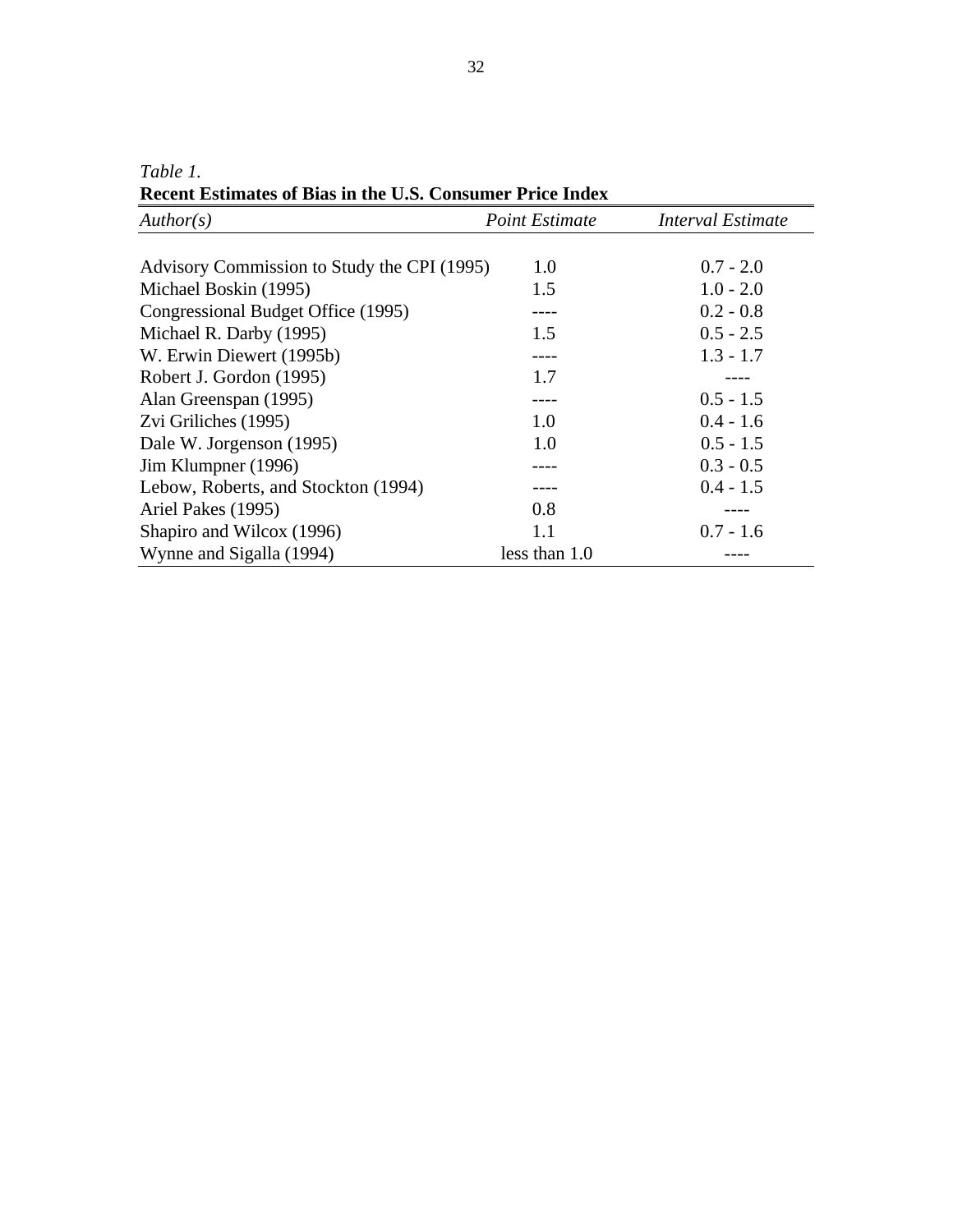*Table 1.*

**Recent Estimates of Bias in the U.S. Consumer Price Index**

| Author(s)                                   | <b>Point Estimate</b> | <b>Interval Estimate</b> |
|---------------------------------------------|-----------------------|--------------------------|
|                                             |                       |                          |
| Advisory Commission to Study the CPI (1995) | 1.0                   | $0.7 - 2.0$              |
| Michael Boskin (1995)                       | 1.5                   | $1.0 - 2.0$              |
| Congressional Budget Office (1995)          |                       | $0.2 - 0.8$              |
| Michael R. Darby (1995)                     | 1.5                   | $0.5 - 2.5$              |
| W. Erwin Diewert (1995b)                    |                       | $1.3 - 1.7$              |
| Robert J. Gordon (1995)                     | 1.7                   |                          |
| Alan Greenspan (1995)                       |                       | $0.5 - 1.5$              |
| Zvi Griliches (1995)                        | 1.0                   | $0.4 - 1.6$              |
| Dale W. Jorgenson (1995)                    | 1.0                   | $0.5 - 1.5$              |
| Jim Klumpner (1996)                         |                       | $0.3 - 0.5$              |
| Lebow, Roberts, and Stockton (1994)         |                       | $0.4 - 1.5$              |
| Ariel Pakes (1995)                          | 0.8                   |                          |
| Shapiro and Wilcox (1996)                   | 1.1                   | $0.7 - 1.6$              |
| Wynne and Sigalla (1994)                    | less than 1.0         |                          |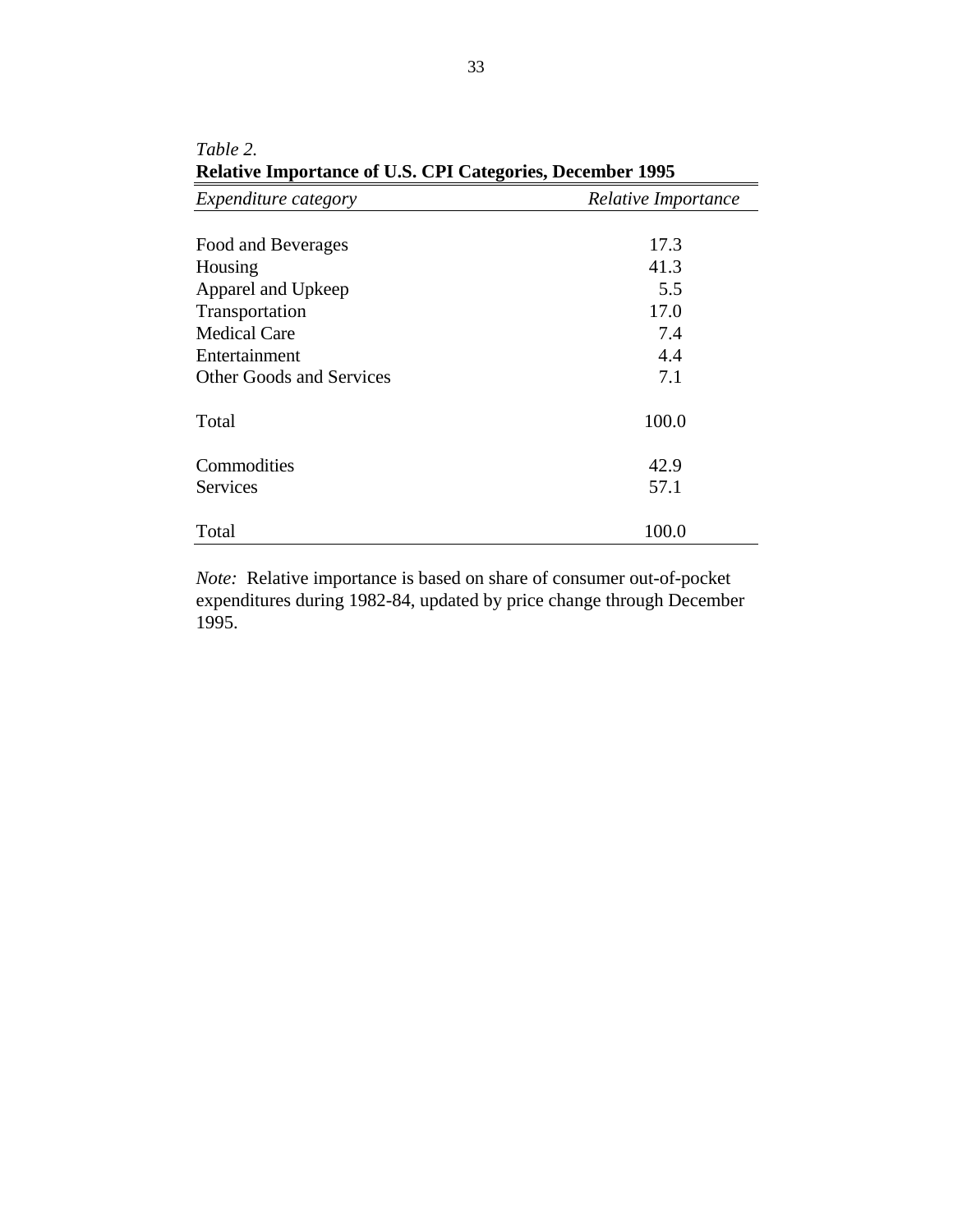| Expenditure category            | Relative Importance |
|---------------------------------|---------------------|
|                                 |                     |
| Food and Beverages              | 17.3                |
| Housing                         | 41.3                |
| Apparel and Upkeep              | 5.5                 |
| Transportation                  | 17.0                |
| <b>Medical Care</b>             | 7.4                 |
| Entertainment                   | 4.4                 |
| <b>Other Goods and Services</b> | 7.1                 |
| Total                           | 100.0               |
| Commodities                     | 42.9                |
| <b>Services</b>                 | 57.1                |
| Total                           | 100.0               |

| Table 2.                                                         |
|------------------------------------------------------------------|
| <b>Relative Importance of U.S. CPI Categories, December 1995</b> |

*Note:* Relative importance is based on share of consumer out-of-pocket expenditures during 1982-84, updated by price change through December 1995.